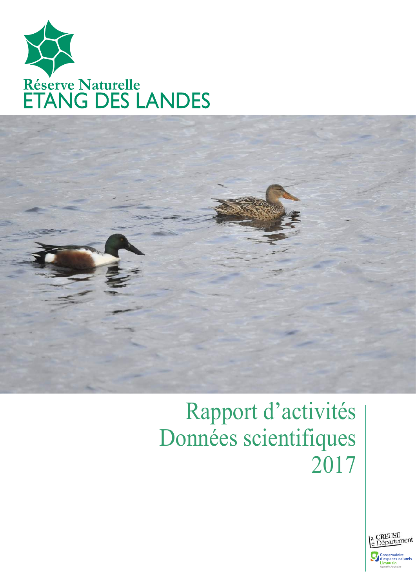



# Rapport d'activités Données scientifiques 2017

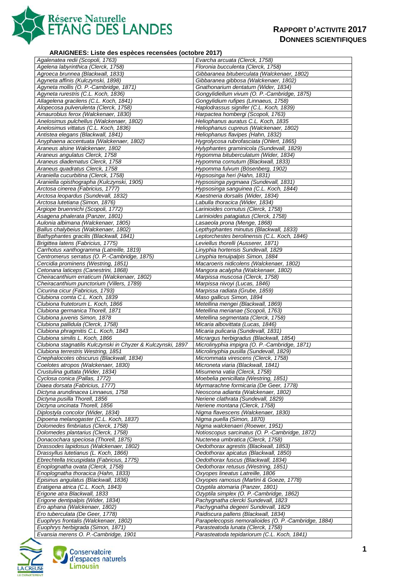

#### **ARAIGNEES: Liste des espèces recensées (octobre 2017)**

| Agalenatea redii (Scopoli, 1763)                             | Evarcha arcuata (Clerck, 1758)                       |
|--------------------------------------------------------------|------------------------------------------------------|
| Agelena labyrinthica (Clerck, 1758)                          | Floronia bucculenta (Clerck, 1758)                   |
| Agroeca brunnea (Blackwall, 1833)                            | Gibbaranea bituberculata (Walckenaer, 1802)          |
| Agyneta affinis (Kulczynski, 1898)                           | Gibbaranea gibbosa (Walckenaer, 1802)                |
| Agyneta mollis (O. P.-Cambridge, 1871)                       | Gnathonarium dentatum (Wider, 1834)                  |
| Agyneta rurestris (C.L. Koch, 1836)                          | Gongylidiellum vivum (O. P.-Cambridge, 1875)         |
| Allagelena gracilens (C.L. Koch, 1841)                       | Gongylidium rufipes (Linnaeus, 1758)                 |
| Alopecosa pulverulenta (Clerck, 1758)                        | Haplodrassus signifer (C.L. Koch, 1839)              |
| Amaurobius ferox (Walckenaer, 1830)                          | Harpactea hombergi (Scopoli, 1763)                   |
| Anelosimus pulchellus (Walckenaer, 1802)                     | Heliophanus auratus C.L. Koch, 1835                  |
| Anelosimus vittatus (C.L. Koch, 1836)                        | Heliophanus cupreus (Walckenaer, 1802)               |
| Antistea elegans (Blackwall, 1841)                           | Heliophanus flavipes (Hahn, 1832)                    |
| Anyphaena accentuata (Walckenaer, 1802)                      | Hygrolycosa rubrofasciata (Ohlert, 1865)             |
| Araneus alsine Walckenaer, 1802                              | Hylyphantes graminicola (Sundevall, 1829)            |
| Araneus angulatus Clerck, 1758                               | Hypomma bituberculatum (Wider, 1834)                 |
| Araneus diadematus Clerck, 1758                              | Hypomma cornutum (Blackwall, 1833)                   |
| Araneus quadratus Clerck, 1758                               | Hypomma fulvum (Bösenberg, 1902)                     |
| Araniella cucurbitina (Clerck, 1758)                         | Hypsosinga heri (Hahn, 1831)                         |
| Araniella opisthographa (Kulczynski, 1905)                   | Hypsosinga pygmaea (Sundevall, 1831)                 |
| Arctosa cinerea (Fabricius, 1777)                            | Hypsosinga sanguinea (C.L. Koch, 1844)               |
| Arctosa leopardus (Sundevall, 1832)                          | Kaestneria dorsalis (Wider, 1834)                    |
| Arctosa lutetiana (Simon, 1876)                              | Labulla thoracica (Wider, 1834)                      |
| Argiope bruennichi (Scopoli, 1772)                           | Larinioides cornutus (Clerck, 1758)                  |
| Asagena phalerata (Panzer, 1801)                             | Larinioides patagiatus (Clerck, 1758)                |
| Aulonia albimana (Walckenaer, 1805)                          | Lasaeola prona (Menge, 1868)                         |
| Ballus chalybeius (Walckenaer, 1802)                         | Lepthyphantes minutus (Blackwall, 1833)              |
| Bathyphantes gracilis (Blackwall, 1841)                      | Leptorchestes berolinensis (C.L. Koch, 1846)         |
| Brigittea latens (Fabricius, 1775)                           | Leviellus thorelli (Ausserer, 1871)                  |
| Carrhotus xanthogramma (Latreille, 1819)                     | Linyphia hortensis Sundevall, 1829                   |
| Centromerus serratus (O. P.-Cambridge, 1875)                 | Linyphia tenuipalpis Simon, 1884                     |
| Cercidia prominens (Westring, 1851)                          | Macaroeris nidicolens (Walckenaer, 1802)             |
| Cetonana laticeps (Canestrini, 1868)                         | Mangora acalypha (Walckenaer, 1802)                  |
| Cheiracanthium erraticum (Walckenaer, 1802)                  | Marpissa muscosa (Clerck, 1758)                      |
| Cheiracanthium punctorium (Villers, 1789)                    | Marpissa nivoyi (Lucas, 1846)                        |
| Cicurina cicur (Fabricius, 1793)                             | Marpissa radiata (Grube, 1859)                       |
| Clubiona comta C.L. Koch, 1839                               | Maso gallicus Simon, 1894                            |
| Clubiona frutetorum L. Koch, 1866                            | Metellina mengei (Blackwall, 1869)                   |
| Clubiona germanica Thorell, 1871                             | Metellina merianae (Scopoli, 1763)                   |
| Clubiona juvenis Simon, 1878                                 | Metellina segmentata (Clerck, 1758)                  |
| Clubiona pallidula (Clerck, 1758)                            | Micaria albovittata (Lucas, 1846)                    |
| Clubiona phragmitis C.L. Koch, 1843                          | Micaria pulicaria (Sundevall, 1831)                  |
| Clubiona similis L. Koch, 1866                               | Micrargus herbigradus (Blackwall, 1854)              |
| Clubiona stagnatilis Kulczynski in Chyzer & Kulczynski, 1897 | Microlinyphia impigra (O. P.-Cambridge, 1871)        |
| Clubiona terrestris Westring, 1851                           | Microlinyphia pusilla (Sundevall, 1829)              |
| Cnephalocotes obscurus (Blackwall, 1834)                     | Micrommata virescens (Clerck, 1758)                  |
| Coelotes atropos (Walckenaer, 1830)                          | Microneta viaria (Blackwall, 1841)                   |
| Crustulina guttata (Wider, 1834)                             | Misumena vatia (Clerck, 1758)                        |
| Cyclosa conica (Pallas, 1772)                                | Moebelia penicillata (Westring, 1851)                |
| Diaea dorsata (Fabricius, 1777)                              | Myrmarachne formicaria (De Geer, 1778)               |
| Dictyna arundinacea Linnaeus, 1758                           | Neoscona adianta (Walckenaer, 1802)                  |
| Dictyna pusilla Thorell, 1856                                | Neriene clathrata (Sundevall, 1829)                  |
| Dictyna uncinata Thorell, 1856                               | Neriene montana (Clerck, 1758)                       |
| Diplostyla concolor (Wider, 1834)                            | Nigma flavescens (Walckenaer, 1830)                  |
| Dipoena melanogaster (C.L. Koch, 1837)                       | Nigma puella (Simon, 1870)                           |
| Dolomedes fimbriatus (Clerck, 1758)                          | Nigma walckenaeri (Roewer, 1951)                     |
| Dolomedes plantarius (Clerck, 1758)                          | Notioscopus sarcinatus (O. P.-Cambridge, 1872)       |
| Donacochara speciosa (Thorell, 1875)                         | Nuctenea umbratica (Clerck, 1758)                    |
| Drassodes lapidosus (Walckenaer, 1802)                       | Oedothorax agrestis (Blackwall, 1853)                |
| Drassyllus lutetianus (L. Koch, 1866)                        | Oedothorax apicatus (Blackwall, 1850)                |
| Ebrechtella tricuspidata (Fabricius, 1775)                   | Oedothorax fuscus (Blackwall, 1834)                  |
| Enoplognatha ovata (Clerck, 1758)                            | Oedothorax retusus (Westring, 1851)                  |
| Enoplognatha thoracica (Hahn, 1833)                          | Oxyopes lineatus Latreille, 1806                     |
| Episinus angulatus (Blackwall, 1836)                         | Oxyopes ramosus (Martini & Goeze, 1778)              |
| Eratigena atrica (C.L. Koch, 1843)                           | Ozyptila atomaria (Panzer, 1801)                     |
| Erigone atra Blackwall, 1833                                 | Ozyptila simplex (O. P.-Cambridge, 1862)             |
| Erigone dentipalpis (Wider, 1834)                            | Pachygnatha clercki Sundevall, 1823                  |
| Ero aphana (Walckenaer, 1802)                                | Pachygnatha degeeri Sundevall, 1829                  |
| Ero tuberculata (De Geer, 1778)                              | Paidiscura pallens (Blackwall, 1834)                 |
| Euophrys frontalis (Walckenaer, 1802)                        | Parapelecopsis nemoralioides (O. P.-Cambridge, 1884) |
| Euophrys herbigrada (Simon, 1871)                            | Parasteatoda lunata (Clerck, 1758)                   |
| Evansia merens O. P.-Cambridge, 1901                         | Parasteatoda tepidariorum (C.L. Koch, 1841)          |



Conservatoire<br>d'espaces naturels<br>Limousin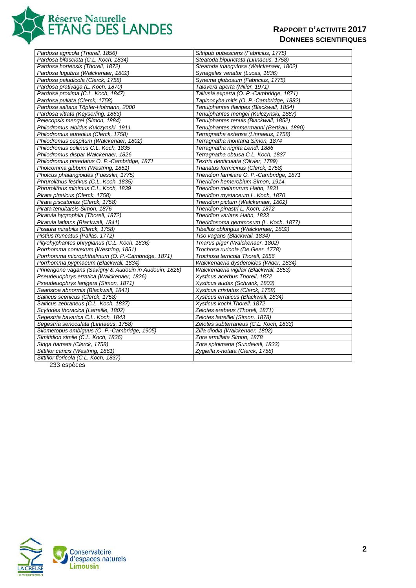

| Pardosa agricola (Thorell, 1856)                        | Sittipub pubescens (Fabricius, 1775)      |
|---------------------------------------------------------|-------------------------------------------|
| Pardosa bifasciata (C.L. Koch, 1834)                    | Steatoda bipunctata (Linnaeus, 1758)      |
| Pardosa hortensis (Thorell, 1872)                       | Steatoda triangulosa (Walckenaer, 1802)   |
| Pardosa lugubris (Walckenaer, 1802)                     | Synageles venator (Lucas, 1836)           |
| Pardosa paludicola (Clerck, 1758)                       | Synema globosum (Fabricius, 1775)         |
| Pardosa prativaga (L. Koch, 1870)                       | Talavera aperta (Miller, 1971)            |
| Pardosa proxima (C.L. Koch, 1847)                       | Tallusia experta (O. P.-Cambridge, 1871)  |
| Pardosa pullata (Clerck, 1758)                          | Tapinocyba mitis (O. P.-Cambridge, 1882)  |
| Pardosa saltans Töpfer-Hofmann, 2000                    | Tenuiphantes flavipes (Blackwall, 1854)   |
| Pardosa vittata (Keyserling, 1863)                      | Tenuiphantes mengei (Kulczynski, 1887)    |
| Pelecopsis mengei (Simon, 1884)                         | Tenuiphantes tenuis (Blackwall, 1852)     |
| Philodromus albidus Kulczynski, 1911                    | Tenuiphantes zimmermanni (Bertkau, 1890)  |
| Philodromus aureolus (Clerck, 1758)                     | Tetragnatha extensa (Linnaeus, 1758)      |
| Philodromus cespitum (Walckenaer, 1802)                 | Tetragnatha montana Simon, 1874           |
| Philodromus collinus C.L. Koch, 1835                    | Tetragnatha nigrita Lendl, 1886           |
| Philodromus dispar Walckenaer, 1826                     | Tetragnatha obtusa C.L. Koch, 1837        |
| Philodromus praedatus O. P.-Cambridge, 1871             | Textrix denticulata (Olivier, 1789)       |
| Pholcomma gibbum (Westring, 1851)                       | Thanatus formicinus (Clerck, 1758)        |
| Pholcus phalangioides (Fuesslin, 1775)                  | Theridion familiare O. P.-Cambridge, 1871 |
| Phrurolithus festivus (C.L. Koch, 1835)                 | Theridion hemerobium Simon, 1914          |
| Phrurolithus minimus C.L. Koch, 1839                    | Theridion melanurum Hahn, 1831            |
| Pirata piraticus (Clerck, 1758)                         | Theridion mystaceum L. Koch, 1870         |
| Pirata piscatorius (Clerck, 1758)                       | Theridion pictum (Walckenaer, 1802)       |
| Pirata tenuitarsis Simon, 1876                          | Theridion pinastri L. Koch, 1872          |
| Piratula hygrophila (Thorell, 1872)                     | Theridion varians Hahn, 1833              |
| Piratula latitans (Blackwall, 1841)                     | Theridiosoma gemmosum (L. Koch, 1877)     |
| Pisaura mirabilis (Clerck, 1758)                        | Tibellus oblongus (Walckenaer, 1802)      |
| Pistius truncatus (Pallas, 1772)                        | Tiso vagans (Blackwall, 1834)             |
| Pityohyphantes phrygianus (C.L. Koch, 1836)             | Tmarus piger (Walckenaer, 1802)           |
| Porrhomma convexum (Westring, 1851)                     | Trochosa ruricola (De Geer, 1778)         |
| Porrhomma microphthalmum (O. P.-Cambridge, 1871)        | Trochosa terricola Thorell, 1856          |
| Porrhomma pygmaeum (Blackwall, 1834)                    | Walckenaeria dysderoides (Wider, 1834)    |
| Prinerigone vagans (Savigny & Audouin in Audouin, 1826) | Walckenaeria vigilax (Blackwall, 1853)    |
| Pseudeuophrys erratica (Walckenaer, 1826)               | Xysticus acerbus Thorell, 1872            |
| Pseudeuophrys lanigera (Simon, 1871)                    | Xysticus audax (Schrank, 1803)            |
| Saaristoa abnormis (Blackwall, 1841)                    | Xysticus cristatus (Clerck, 1758)         |
| Salticus scenicus (Clerck, 1758)                        | Xysticus erraticus (Blackwall, 1834)      |
| Salticus zebraneus (C.L. Koch, 1837)                    | Xysticus kochi Thorell, 1872              |
| Scytodes thoracica (Latreille, 1802)                    | Zelotes erebeus (Thorell, 1871)           |
| Segestria bavarica C.L. Koch, 1843                      | Zelotes latreillei (Simon, 1878)          |
| Segestria senoculata (Linnaeus, 1758)                   | Zelotes subterraneus (C.L. Koch, 1833)    |
| Silometopus ambiguus (O. P.-Cambridge, 1905)            | Zilla diodia (Walckenaer, 1802)           |
| Simitidion simile (C.L. Koch, 1836)                     | Zora armillata Simon, 1878                |
| Singa hamata (Clerck, 1758)                             | Zora spinimana (Sundevall, 1833)          |
| Sittiflor caricis (Westring, 1861)                      | Zygiella x-notata (Clerck, 1758)          |
| Sittiflor floricola (C.L. Koch, 1837)                   |                                           |

233 espèces

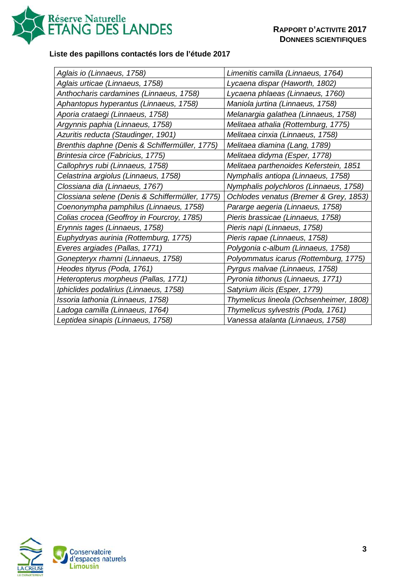

# **Liste des papillons contactés lors de l'étude 2017**

| Aglais io (Linnaeus, 1758)                      | Limenitis camilla (Linnaeus, 1764)      |
|-------------------------------------------------|-----------------------------------------|
| Aglais urticae (Linnaeus, 1758)                 | Lycaena dispar (Haworth, 1802)          |
| Anthocharis cardamines (Linnaeus, 1758)         | Lycaena phlaeas (Linnaeus, 1760)        |
| Aphantopus hyperantus (Linnaeus, 1758)          | Maniola jurtina (Linnaeus, 1758)        |
| Aporia crataegi (Linnaeus, 1758)                | Melanargia galathea (Linnaeus, 1758)    |
| Argynnis paphia (Linnaeus, 1758)                | Melitaea athalia (Rottemburg, 1775)     |
| Azuritis reducta (Staudinger, 1901)             | Melitaea cinxia (Linnaeus, 1758)        |
| Brenthis daphne (Denis & Schiffermüller, 1775)  | Melitaea diamina (Lang, 1789)           |
| Brintesia circe (Fabricius, 1775)               | Melitaea didyma (Esper, 1778)           |
| Callophrys rubi (Linnaeus, 1758)                | Melitaea parthenoides Keferstein, 1851  |
| Celastrina argiolus (Linnaeus, 1758)            | Nymphalis antiopa (Linnaeus, 1758)      |
| Clossiana dia (Linnaeus, 1767)                  | Nymphalis polychloros (Linnaeus, 1758)  |
| Clossiana selene (Denis & Schiffermüller, 1775) | Ochlodes venatus (Bremer & Grey, 1853)  |
| Coenonympha pamphilus (Linnaeus, 1758)          | Pararge aegeria (Linnaeus, 1758)        |
| Colias crocea (Geoffroy in Fourcroy, 1785)      | Pieris brassicae (Linnaeus, 1758)       |
| Erynnis tages (Linnaeus, 1758)                  | Pieris napi (Linnaeus, 1758)            |
| Euphydryas aurinia (Rottemburg, 1775)           | Pieris rapae (Linnaeus, 1758)           |
| Everes argiades (Pallas, 1771)                  | Polygonia c-album (Linnaeus, 1758)      |
| Gonepteryx rhamni (Linnaeus, 1758)              | Polyommatus icarus (Rottemburg, 1775)   |
| Heodes tityrus (Poda, 1761)                     | Pyrgus malvae (Linnaeus, 1758)          |
| Heteropterus morpheus (Pallas, 1771)            | Pyronia tithonus (Linnaeus, 1771)       |
| Iphiclides podalirius (Linnaeus, 1758)          | Satyrium ilicis (Esper, 1779)           |
| Issoria lathonia (Linnaeus, 1758)               | Thymelicus lineola (Ochsenheimer, 1808) |
| Ladoga camilla (Linnaeus, 1764)                 | Thymelicus sylvestris (Poda, 1761)      |
| Leptidea sinapis (Linnaeus, 1758)               | Vanessa atalanta (Linnaeus, 1758)       |

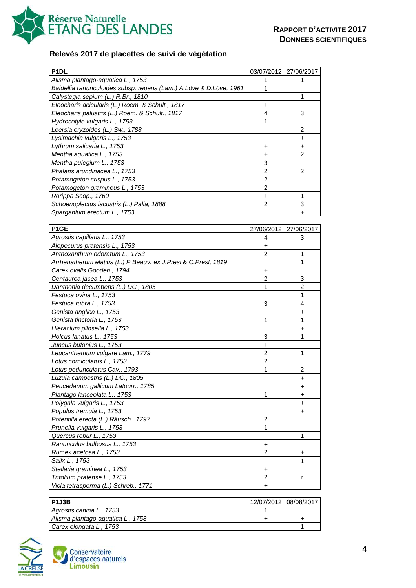

# **Relevés 2017 de placettes de suivi de végétation**

| P <sub>1</sub> DL                                                  |                | 03/07/2012 27/06/2017 |
|--------------------------------------------------------------------|----------------|-----------------------|
| Alisma plantago-aquatica L., 1753                                  | 1              | 1                     |
| Baldellia ranunculoides subsp. repens (Lam.) Á.Löve & D.Löve, 1961 | 1              |                       |
| Calystegia sepium (L.) R.Br., 1810                                 |                | 1                     |
| Eleocharis acicularis (L.) Roem. & Schult., 1817                   | +              |                       |
| Eleocharis palustris (L.) Roem. & Schult., 1817                    | 4              | 3                     |
| Hydrocotyle vulgaris L., 1753                                      | 1              |                       |
| Leersia oryzoides (L.) Sw., 1788                                   |                | 2                     |
| Lysimachia vulgaris L., 1753                                       |                | $\ddot{}$             |
| Lythrum salicaria L., 1753                                         | +              | +                     |
| Mentha aquatica L., 1753                                           | $\ddot{}$      | $\overline{2}$        |
| Mentha pulegium L., 1753                                           | 3              |                       |
| Phalaris arundinacea L., 1753                                      | $\overline{2}$ | 2                     |
| Potamogeton crispus L., 1753                                       | $\overline{2}$ |                       |
| Potamogeton gramineus L., 1753                                     | $\overline{2}$ |                       |
| Rorippa Scop., 1760                                                | $\ddot{}$      | 1                     |
| Schoenoplectus lacustris (L.) Palla, 1888                          | $\overline{2}$ | 3                     |
| Sparganium erectum L., 1753                                        |                | +                     |
|                                                                    |                |                       |
| P <sub>1</sub> GE                                                  | 27/06/2012     | 27/06/2017            |
| Agrostis capillaris L., 1753                                       | 4              | 3                     |
| Alopecurus pratensis L., 1753                                      | +              |                       |
| Anthoxanthum odoratum L., 1753                                     | $\overline{2}$ | 1                     |
| Arrhenatherum elatius (L.) P.Beauv. ex J.Presl & C.Presl, 1819     |                | 1                     |
| Carex ovalis Gooden., 1794                                         | +              |                       |
| Centaurea jacea L., 1753                                           | $\overline{2}$ | 3                     |
| Danthonia decumbens (L.) DC., 1805                                 | 1              | $\overline{2}$        |
| Festuca ovina L., 1753                                             |                | 1                     |
| Festuca rubra L., 1753                                             | 3              | 4                     |
| Genista anglica L., 1753                                           |                | +                     |
| Genista tinctoria L., 1753                                         | 1              | 1                     |
| Hieracium pilosella L., 1753                                       |                | +                     |
| Holcus lanatus L., 1753                                            | 3              | 1                     |
| Juncus bufonius L., 1753                                           | +              |                       |
| Leucanthemum vulgare Lam., 1779                                    | $\overline{2}$ | 1                     |
| Lotus corniculatus L., 1753                                        | 2              |                       |
| Lotus pedunculatus Cav., 1793                                      | 1              | $\overline{c}$        |
| Luzula campestris (L.) DC., 1805                                   |                | $\ddot{}$             |
| Peucedanum gallicum Latourr., 1785                                 |                | +                     |
| Plantago lanceolata L., 1753                                       | 1              | +                     |
| Polygala vulgaris L., 1753                                         |                | +                     |
| Populus tremula L., 1753                                           |                | $\ddot{}$             |
| Potentilla erecta (L.) Räusch., 1797                               | $\overline{c}$ |                       |
| Prunella vulgaris L., 1753                                         | 1              |                       |
| Quercus robur L., 1753                                             |                | 1                     |
| Ranunculus bulbosus L., 1753                                       | +              |                       |
| Rumex acetosa L., 1753                                             | 2              | +                     |
| Salix L., 1753                                                     |                | 1                     |
| Stellaria graminea L., 1753                                        | $\ddot{}$      |                       |
| Trifolium pratense L., 1753                                        | 2              | r                     |
| Vicia tetrasperma (L.) Schreb., 1771                               | $\ddot{}$      |                       |
|                                                                    |                |                       |

| <b>P1J3B</b>                      | 12/07/2012 08/08/2017 |  |
|-----------------------------------|-----------------------|--|
| Agrostis canina L., 1753          |                       |  |
| Alisma plantago-aquatica L., 1753 |                       |  |
| Carex elongata L., 1753           |                       |  |



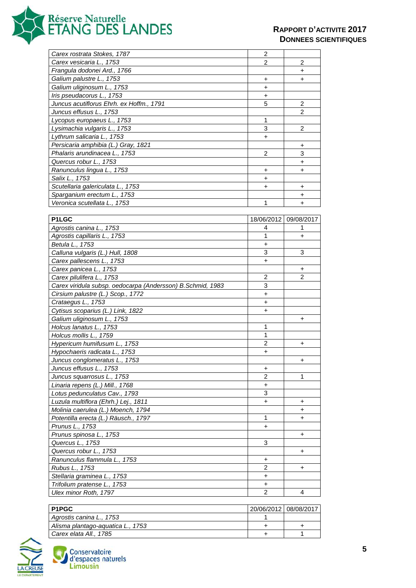

| Carex rostrata Stokes, 1787                                 | 2                     |                |
|-------------------------------------------------------------|-----------------------|----------------|
| Carex vesicaria L., 1753                                    | 2                     | 2              |
| Frangula dodonei Ard., 1766                                 |                       | $\ddot{}$      |
| Galium palustre L., 1753                                    | $\ddot{}$             | +              |
| Galium uliginosum L., 1753                                  | +                     |                |
| Iris pseudacorus L., 1753                                   | +                     |                |
| Juncus acutiflorus Ehrh. ex Hoffm., 1791                    | 5                     | 2              |
| Juncus effusus L., 1753                                     |                       | 2              |
| Lycopus europaeus L., 1753                                  | 1                     |                |
|                                                             | 3                     | $\overline{c}$ |
| Lysimachia vulgaris L., 1753                                |                       |                |
| Lythrum salicaria L., 1753                                  | $\ddot{}$             |                |
| Persicaria amphibia (L.) Gray, 1821                         |                       | +              |
| Phalaris arundinacea L., 1753                               | 2                     | 3              |
| Quercus robur L., 1753                                      |                       | +              |
| Ranunculus lingua L., 1753                                  | +                     | +              |
| Salix L., 1753                                              | $\ddot{}$             |                |
| Scutellaria galericulata L., 1753                           | +                     | +              |
| Sparganium erectum L., 1753                                 |                       | +              |
| Veronica scutellata L., 1753                                | 1                     | +              |
|                                                             |                       |                |
| P1LGC                                                       | 18/06/2012 09/08/2017 |                |
| Agrostis canina L., 1753                                    | 4                     | 1              |
| Agrostis capillaris L., 1753                                | 1                     | $\ddot{}$      |
| Betula L., 1753                                             | +                     |                |
| Calluna vulgaris (L.) Hull, 1808                            | 3                     | 3              |
| Carex pallescens L., 1753                                   | $\ddot{}$             |                |
| Carex panicea L., 1753                                      |                       | +              |
| Carex pilulifera L., 1753                                   | $\overline{2}$        | 2              |
| Carex viridula subsp. oedocarpa (Andersson) B. Schmid, 1983 | 3                     |                |
| Cirsium palustre (L.) Scop., 1772                           | +                     |                |
| Crataegus L., 1753                                          | +                     |                |
| Cytisus scoparius (L.) Link, 1822                           | +                     |                |
| Galium uliginosum L., 1753                                  |                       | +              |
| Holcus lanatus L., 1753                                     | 1                     |                |
| Holcus mollis L., 1759                                      | 1                     |                |
| Hypericum humifusum L., 1753                                | 2                     | +              |
| Hypochaeris radicata L., 1753                               | +                     |                |
| Juncus conglomeratus L., 1753                               |                       | $\ddot{}$      |
|                                                             |                       |                |
| Juncus effusus L., 1753                                     | $\ddot{}$             |                |
| Juncus squarrosus L., 1753                                  | 2                     | 1              |
| Linaria repens (L.) Mill., 1768                             | +                     |                |
| Lotus pedunculatus Cav., 1793                               | 3                     |                |
| Luzula multiflora (Ehrh.) Lej., 1811                        | $\ddot{}$             | +              |
| Molinia caerulea (L.) Moench, 1794                          |                       | $\ddot{}$      |
| Potentilla erecta (L.) Räusch., 1797                        | 1                     | +              |
| Prunus L., 1753                                             | +                     |                |
| Prunus spinosa L., 1753                                     |                       | $\ddot{}$      |
| Quercus L., 1753                                            | 3                     |                |
| Quercus robur L., 1753                                      |                       | +              |
| Ranunculus flammula L., 1753                                | +                     |                |
| Rubus L., 1753                                              | $\overline{2}$        | +              |
| Stellaria graminea L., 1753                                 | $\ddot{}$             |                |
| Trifolium pratense L., 1753                                 | $\ddot{}$             |                |
| Ulex minor Roth, 1797                                       | $\overline{2}$        | 4              |

| <b>P1PGC</b>                      | 20/06/2012 08/08/2017 |  |
|-----------------------------------|-----------------------|--|
| Agrostis canina L., 1753          |                       |  |
| Alisma plantago-aguatica L., 1753 |                       |  |
| Carex elata All., 1785            |                       |  |

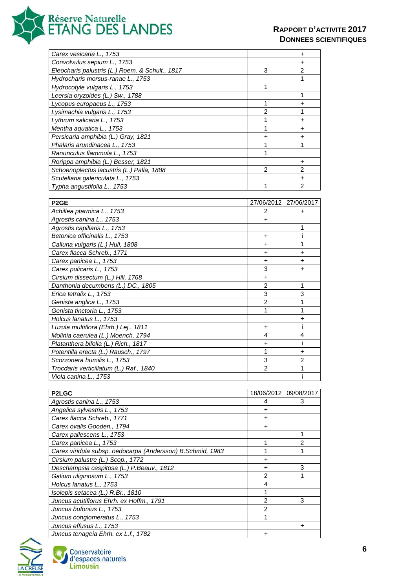

| Carex vesicaria L., 1753                                      |                | +              |
|---------------------------------------------------------------|----------------|----------------|
| Convolvulus sepium L., 1753                                   |                | +              |
| Eleocharis palustris (L.) Roem. & Schult., 1817               | 3              | 2              |
| Hydrocharis morsus-ranae L., 1753                             |                | 1              |
| Hydrocotyle vulgaris L., 1753                                 | 1              |                |
| Leersia oryzoides (L.) Sw., 1788                              |                | 1              |
| Lycopus europaeus L., 1753                                    | 1              | +              |
| Lysimachia vulgaris L., 1753                                  | $\overline{2}$ | 1              |
| Lythrum salicaria L., 1753                                    | 1              | +              |
| Mentha aquatica L., 1753                                      | 1              | $\ddot{}$      |
| Persicaria amphibia (L.) Gray, 1821                           | $\ddot{}$      | $\ddot{}$      |
| Phalaris arundinacea L., 1753                                 | 1              | 1              |
| Ranunculus flammula L., 1753                                  | 1              |                |
| Rorippa amphibia (L.) Besser, 1821                            |                | +              |
| Schoenoplectus lacustris (L.) Palla, 1888                     | 2              | 2              |
| Scutellaria galericulata L., 1753                             |                | +              |
| Typha angustifolia L., 1753                                   | 1              | $\overline{2}$ |
|                                                               |                |                |
| P <sub>2</sub> GE                                             | 27/06/2012     | 27/06/2017     |
| Achillea ptarmica L., 1753                                    | 2              |                |
|                                                               |                | +              |
| Agrostis canina L., 1753                                      | +              | 1              |
| Agrostis capillaris L., 1753<br>Betonica officinalis L., 1753 | $\ddot{}$      | i              |
|                                                               |                | 1              |
| Calluna vulgaris (L.) Hull, 1808                              | $\ddot{}$      |                |
| Carex flacca Schreb., 1771                                    | $\ddot{}$      | $\ddot{}$      |
| Carex panicea L., 1753                                        | +              | +              |
| Carex pulicaris L., 1753                                      | 3              | +              |
| Cirsium dissectum (L.) Hill, 1768                             | +              |                |
| Danthonia decumbens (L.) DC., 1805                            | $\overline{2}$ | 1              |
| Erica tetralix L., 1753                                       | 3              | 3              |
| Genista anglica L., 1753                                      | $\overline{2}$ | 1              |
| Genista tinctoria L., 1753                                    | 1              | 1              |
| Holcus lanatus L., 1753                                       |                | +              |
| Luzula multiflora (Ehrh.) Lej., 1811                          | $\ddot{}$      | i              |
| Molinia caerulea (L.) Moench, 1794                            | 4              | 4              |
| Platanthera bifolia (L.) Rich., 1817                          | +              | Ť              |
| Potentilla erecta (L.) Räusch., 1797                          | 1              | +              |
| Scorzonera humilis L 1753                                     | 3              | $\mathfrak{p}$ |
| Trocdaris verticillatum (L.) Raf., 1840                       | 2              | 1              |
| Viola canina L., 1753                                         |                | I.             |
|                                                               |                |                |
| <b>P2LGC</b>                                                  | 18/06/2012     | 09/08/2017     |
| Agrostis canina L., 1753                                      | 4              | 3              |
| Angelica sylvestris L., 1753                                  | +              |                |
| Carex flacca Schreb., 1771                                    | +              |                |
| Carex ovalis Gooden., 1794                                    | +              |                |
| Carex pallescens L., 1753                                     |                | 1              |
| Carex panicea L., 1753                                        | 1              | $\overline{c}$ |
| Carex viridula subsp. oedocarpa (Andersson) B. Schmid, 1983   | 1              | 1              |
| Cirsium palustre (L.) Scop., 1772                             | +              |                |
| Deschampsia cespitosa (L.) P.Beauv., 1812                     | $\ddot{}$      | 3              |
| Galium uliginosum L., 1753                                    | $\overline{2}$ | 1              |
| Holcus lanatus L., 1753                                       | 4              |                |
| Isolepis setacea (L.) R.Br., 1810                             | 1              |                |
| Juncus acutiflorus Ehrh. ex Hoffm., 1791                      | $\overline{2}$ | 3              |
| Juncus bufonius L., 1753                                      | $\overline{c}$ |                |
| Juncus conglomeratus L., 1753                                 | 1              |                |
| Juncus effusus L., 1753                                       |                | +              |
| Juncus tenageia Ehrh. ex L.f., 1782                           | +              |                |

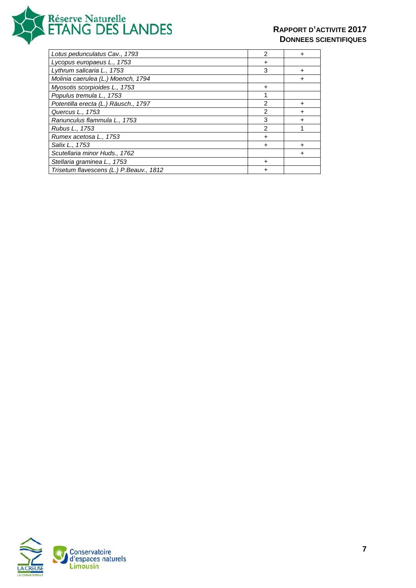

| Lotus pedunculatus Cav., 1793           | $\mathfrak{p}$ |   |
|-----------------------------------------|----------------|---|
| Lycopus europaeus L., 1753              | ٠              |   |
| Lythrum salicaria L., 1753              | 3              | + |
| Molinia caerulea (L.) Moench, 1794      |                |   |
| Myosotis scorpioides L., 1753           | +              |   |
| Populus tremula L., 1753                |                |   |
| Potentilla erecta (L.) Räusch., 1797    | $\mathfrak{p}$ | + |
| Quercus L., 1753                        | 2              |   |
| Ranunculus flammula L., 1753            | 3              |   |
| Rubus L., 1753                          | $\mathfrak{p}$ |   |
| Rumex acetosa L., 1753                  | ٠              |   |
| Salix L., 1753                          | +              | + |
| Scutellaria minor Huds., 1762           |                |   |
| Stellaria graminea L., 1753             |                |   |
| Trisetum flavescens (L.) P.Beauv., 1812 |                |   |

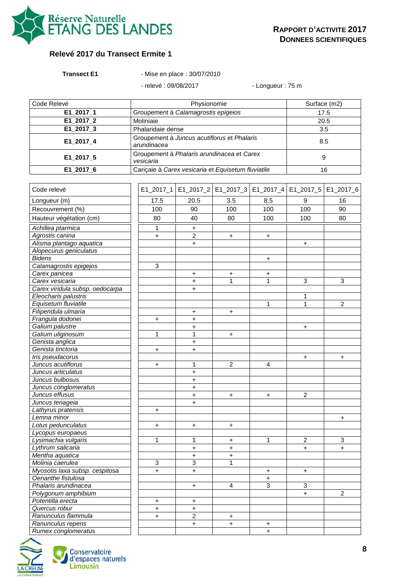

#### **Relevé 2017 du Transect Ermite 1**

| <b>Transect E1</b> |  |
|--------------------|--|
|                    |  |

**Transect E1** - Mise en place : 30/07/2010

- relevé : 09/08/2017 - Longueur : 75 m

| Code Relevé | Physionomie                                                | Surface (m2) |  |
|-------------|------------------------------------------------------------|--------------|--|
| E1_2017_1   | Groupement à Calamagrostis epigeios                        |              |  |
| E1_2017_2   | Moliniaie                                                  | 20.5         |  |
| E1_2017_3   | Phalaridaie dense                                          | 3.5          |  |
| E1_2017_4   | Groupement à Juncus acutiflorus et Phalaris<br>arundinacea | 8.5          |  |
| E1 2017 5   | Groupement à Phalaris arundinacea et Carex<br>vesicaria    | 9            |  |
| E1 2017 6   | Cariçaie à Carex vesicaria et Equisetum fluviatile         | 16           |  |

| Code relevé                     |                                  |                | E1_2017_1   E1_2017_2   E1_2017_3   E1_2017_4   E1_2017_5   E1_2017_6 |           |                |                |
|---------------------------------|----------------------------------|----------------|-----------------------------------------------------------------------|-----------|----------------|----------------|
| Longueur (m)                    | 17.5                             | 20.5           | 3.5                                                                   | 8.5       | 9              | 16             |
| Recouvrement (%)                | 100                              | 90             | 100                                                                   | 100       | 100            | 90             |
| Hauteur végétation (cm)         | 80                               | 40             | 80                                                                    | 100       | 100            | 80             |
| Achillea ptarmica               | 1                                | +              |                                                                       |           |                |                |
| Agrostis canina                 | $\ddot{}$                        | $\overline{2}$ | $\ddot{}$                                                             | $\ddot{}$ |                |                |
| Alisma plantago aquatica        |                                  | $+$            |                                                                       |           | $+$            |                |
| Alopecurus geniculatus          |                                  |                |                                                                       |           |                |                |
| <b>Bidens</b>                   |                                  |                |                                                                       | $\ddot{}$ |                |                |
| Calamagrostis epigejos          | 3                                |                |                                                                       |           |                |                |
| Carex panicea                   |                                  | $\ddot{}$      | $\boldsymbol{+}$                                                      | +         |                |                |
| Carex vesicaria                 |                                  | $\ddot{}$      | 1                                                                     | 1         | $\overline{3}$ | 3              |
| Carex viridula subsp. oedocarpa |                                  | $\ddot{}$      |                                                                       |           |                |                |
| Eleocharis palustris            |                                  |                |                                                                       |           | 1              |                |
| Equisetum fluviatile            |                                  |                |                                                                       | 1         | $\mathbf{1}$   | $\overline{c}$ |
| Filipendula ulmaria             |                                  | +              | $\boldsymbol{+}$                                                      |           |                |                |
| Frangula dodonei                | $\ddot{}$                        | $\ddot{}$      |                                                                       |           |                |                |
| Galium palustre                 |                                  | $\ddot{}$      |                                                                       |           | $+$            |                |
| Galium uliginosum               | $\mathbf 1$                      | $\mathbf{1}$   | $\ddot{}$                                                             |           |                |                |
| Genista anglica                 |                                  | $\ddot{}$      |                                                                       |           |                |                |
| Genista tinctoria               | $\begin{array}{c} + \end{array}$ | $\ddot{}$      |                                                                       |           |                |                |
| Iris pseudacorus                |                                  |                |                                                                       |           | $\ddot{}$      | $\ddot{}$      |
| Juncus acutiflorus              | $\ddot{}$                        | $\mathbf{1}$   | $\overline{2}$                                                        | 4         |                |                |
| Juncus articulatus              |                                  | $\ddot{}$      |                                                                       |           |                |                |
| Juncus bulbosus                 |                                  | $\ddot{}$      |                                                                       |           |                |                |
| Juncus conglomeratus            |                                  | $\ddot{}$      |                                                                       |           |                |                |
| Juncus effusus                  |                                  | $\ddot{}$      | $\ddot{}$                                                             | $\ddot{}$ | $\overline{2}$ |                |
| Juncus tenageia                 |                                  | $+$            |                                                                       |           |                |                |
| Lathyrus pratensis              | $\ddot{}$                        |                |                                                                       |           |                |                |
| Lemna minor                     |                                  |                |                                                                       |           |                | +              |
| Lotus pedunculatus              | $\ddot{}$                        | $\ddot{}$      | $\ddot{}$                                                             |           |                |                |
| Lycopus europaeus               |                                  |                |                                                                       |           |                |                |
| Lysimachia vulgaris             | 1                                | $\overline{1}$ | $\ddot{}$                                                             | 1         | $\overline{2}$ | $\overline{3}$ |
| Lythrum salicaria               |                                  | $\ddot{}$      | $\ddot{}$                                                             |           | $\ddot{}$      | $\ddot{}$      |
| Mentha aquatica                 |                                  | $\ddot{}$      | $\ddot{}$                                                             |           |                |                |
| Molinia caerulea                | $\sqrt{3}$                       | $\overline{3}$ | 1                                                                     |           |                |                |
| Myosotis laxa subsp. cespitosa  | $\ddot{}$                        | $\ddot{}$      |                                                                       | $\ddot{}$ | $\ddot{}$      |                |
| Oenanthe fistulosa              |                                  |                |                                                                       | $\ddot{}$ |                |                |
| Phalaris arundinacea            |                                  | $\ddot{}$      | 4                                                                     | 3         | 3              |                |
| Polygonum amphibium             |                                  |                |                                                                       |           | $\ddot{}$      | $\overline{2}$ |
| Potentilla erecta               | +                                | $\ddot{}$      |                                                                       |           |                |                |
| Quercus robur                   | $\ddot{}$                        | $\ddot{}$      |                                                                       |           |                |                |
| Ranunculus flammula             | $\ddot{+}$                       | $\overline{2}$ | $\ddot{}$                                                             |           |                |                |
| Ranunculus repens               |                                  | $\ddot{}$      | $\ddot{}$                                                             | +         |                |                |
| Rumex conglomeratus             |                                  |                |                                                                       | $\ddot{}$ |                |                |

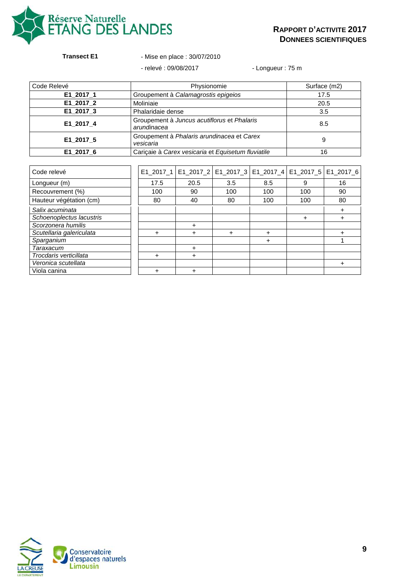

#### **Transect E1** - Mise en place : 30/07/2010

- relevé : 09/08/2017 - Longueur : 75 m

| Code Relevé | Physionomie                                                | Surface (m2) |
|-------------|------------------------------------------------------------|--------------|
| E1_2017_1   | Groupement à Calamagrostis epigeios                        | 17.5         |
| E1 2017 2   | Moliniaie                                                  | 20.5         |
| E1_2017_3   | Phalaridaie dense                                          | 3.5          |
| E1_2017_4   | Groupement à Juncus acutiflorus et Phalaris<br>arundinacea | 8.5          |
| E1_2017_5   | Groupement à Phalaris arundinacea et Carex<br>vesicaria    | 9            |
| E1 2017 6   | Cariçaie à Carex vesicaria et Equisetum fluviatile         | 16           |

| Code relevé              |      |      | E1_2017_1   E1_2017_2   E1_2017_3   E1_2017_4   E1_2017_5   E1_2017_6 |     |     |    |
|--------------------------|------|------|-----------------------------------------------------------------------|-----|-----|----|
| Longueur (m)             | 17.5 | 20.5 | 3.5                                                                   | 8.5 | 9   | 16 |
| Recouvrement (%)         | 100  | 90   | 100                                                                   | 100 | 100 | 90 |
| Hauteur végétation (cm)  | 80   | 40   | 80                                                                    | 100 | 100 | 80 |
| Salix acuminata          |      |      |                                                                       |     |     | +  |
| Schoenoplectus lacustris |      |      |                                                                       |     |     |    |
| Scorzonera humilis       |      | +    |                                                                       |     |     |    |
| Scutellaria galericulata | ÷    | ÷    | +                                                                     | ٠   |     | +  |
| Sparganium               |      |      |                                                                       | +   |     |    |
| Taraxacum                |      | ٠    |                                                                       |     |     |    |
| Trocdaris verticillata   | ÷    | ٠    |                                                                       |     |     |    |
| Veronica scutellata      |      |      |                                                                       |     |     | +  |
| Viola canina             | ÷    |      |                                                                       |     |     |    |

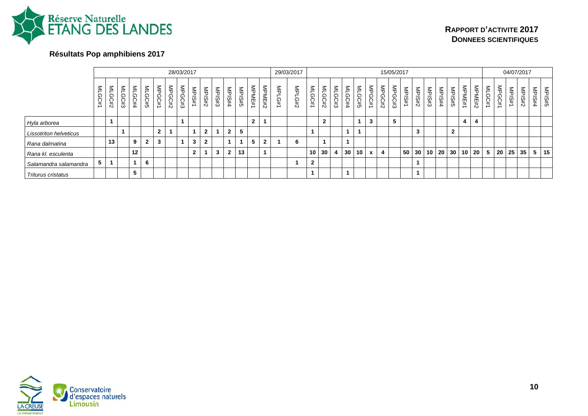

# **Résultats Pop amphibiens 2017**

|                               |        |                |                |                     |                |                              |        | 28/03/2017           |              |              |               |                |       |              |              |            | 29/03/2017           |              |                |                |                         |                |              |                       | 15/05/2017 |       |                          |               |        |                 |            |        |        |           |            | 04/07/2017              |                                          |               |
|-------------------------------|--------|----------------|----------------|---------------------|----------------|------------------------------|--------|----------------------|--------------|--------------|---------------|----------------|-------|--------------|--------------|------------|----------------------|--------------|----------------|----------------|-------------------------|----------------|--------------|-----------------------|------------|-------|--------------------------|---------------|--------|-----------------|------------|--------|--------|-----------|------------|-------------------------|------------------------------------------|---------------|
|                               | $\leq$ | $\leq$<br>GC#2 | $\leq$<br>GC#3 | $\leq$<br>:GC#<br>4 | $\leq$<br>GC#5 | $\frac{2}{5}$<br><b>GC#1</b> | MPGC#2 | MPGC#3               | MPIS#<br>∸   | MPIS#2       | <b>MPIS#3</b> | <b>NPIS#4</b>  | MPIS# | MPME#1       | MPME#2       | MPl<br>G#1 | $\frac{8}{5}$<br>C#2 | MLGC#1       | $\leq$<br>CC#2 | $\leq$<br>GC#3 | $\leq$<br>.<br>409<br>4 | $\leq$<br>GC#5 | MPGC<br>兵    | $\frac{2}{9}$<br>GC#2 | MPGC#3     | MPIS# | MPIS#:<br>$\ddot{\circ}$ | <b>MPIS#3</b> | MPIS#4 | <b>MPIS#5</b>   | ≦<br>PME#1 | MPME#2 | MLGC#1 | 즊<br>GC#1 | MPIS#<br>∸ | MPIS#:<br>$\ddot{\sim}$ | <b>MPIS#</b><br>$\overline{\phantom{a}}$ | <b>MPIS#5</b> |
| Hyla arborea                  |        |                |                |                     |                |                              |        | $\blacktriangleleft$ |              |              |               |                |       | $\mathbf{2}$ |              |            |                      |              | $\overline{2}$ |                |                         |                | 3            |                       | 5          |       |                          |               |        |                 |            | 4      |        |           |            |                         |                                          |               |
| <b>Lissotriton helveticus</b> |        |                |                |                     |                | າ                            |        |                      |              | $\mathbf{2}$ | 1             | $\overline{2}$ |       |              |              |            |                      |              |                |                |                         |                |              |                       |            |       | 3                        |               |        | $\mathbf{2}$    |            |        |        |           |            |                         |                                          |               |
| Rana dalmatina                |        | 13             |                | 9                   | $\mathbf{2}$   | 3                            |        | $\blacktriangleleft$ | 3            | ົ            |               |                |       | 5            | $\mathbf{2}$ |            | 6                    |              |                |                |                         |                |              |                       |            |       |                          |               |        |                 |            |        |        |           |            |                         |                                          |               |
| Rana kl. esculenta            |        |                |                | 12                  |                |                              |        |                      | $\mathbf{2}$ |              | 3             | $\overline{2}$ | 13    |              |              |            |                      | 10           | 30             | 4              | 30 <sub>1</sub>         | 10             | $\mathbf{x}$ | 4                     |            | 50    | 30 <sup>°</sup>          | $10$ .        | 20     | 30 <sup>1</sup> |            | 10 20  | 5      |           | 20 25      | 35                      |                                          | $5 \mid 15$   |
| Salamandra salamandra         | 5      |                |                |                     | 6              |                              |        |                      |              |              |               |                |       |              |              |            |                      | $\mathbf{2}$ |                |                |                         |                |              |                       |            |       |                          |               |        |                 |            |        |        |           |            |                         |                                          |               |
| <b>Triturus cristatus</b>     |        |                |                | IJ                  |                |                              |        |                      |              |              |               |                |       |              |              |            |                      |              |                |                |                         |                |              |                       |            |       |                          |               |        |                 |            |        |        |           |            |                         |                                          |               |

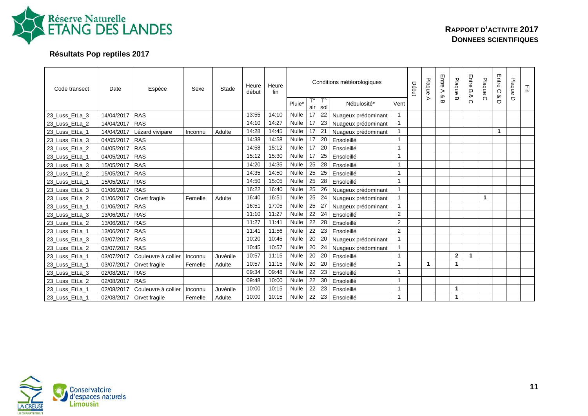

# **Résultats Pop reptiles 2017**

| Code transect  | Date       | Espèce              | Sexe    | Stade    | Heure<br>début | Heure<br>fin |              |           |           | Conditions météorologiques |                | Début | Plaque | Entre<br>⋗<br>≫ | Plaque         | Entre B<br>ჯ | Plaque   | Entre<br>$\Omega$<br>ჯ | Plaque | 곻 |
|----------------|------------|---------------------|---------|----------|----------------|--------------|--------------|-----------|-----------|----------------------------|----------------|-------|--------|-----------------|----------------|--------------|----------|------------------------|--------|---|
|                |            |                     |         |          |                |              | Pluie*       | Т٥<br>air | T۰<br>sol | Nébulosité*                | Vent           |       | ⋗      | œ               | ω              | $\Omega$     | $\Omega$ | O                      | $\Box$ |   |
| 23_Luss_EtLa_3 | 14/04/2017 | <b>RAS</b>          |         |          | 13:55          | 14:10        | <b>Nulle</b> | 17        | 22        | Nuageux prédominant        |                |       |        |                 |                |              |          |                        |        |   |
| 23 Luss EtLa 2 | 14/04/2017 | <b>RAS</b>          |         |          | 14:10          | 14:27        | <b>Nulle</b> | 17        | 23        | Nuageux prédominant        | $\mathbf{1}$   |       |        |                 |                |              |          |                        |        |   |
| 23_Luss_EtLa_1 | 14/04/2017 | Lézard vivipare     | Inconnu | Adulte   | 14:28          | 14:45        | <b>Nulle</b> | 17        | 21        | Nuageux prédominant        |                |       |        |                 |                |              |          | 1                      |        |   |
| 23 Luss EtLa 3 | 04/05/2017 | <b>RAS</b>          |         |          | 14:38          | 14:58        | <b>Nulle</b> | 17        | 20        | Ensoleillé                 | 1              |       |        |                 |                |              |          |                        |        |   |
| 23_Luss_EtLa_2 | 04/05/2017 | <b>RAS</b>          |         |          | 14:58          | 15:12        | <b>Nulle</b> | 17        | 20        | Ensoleillé                 | $\mathbf{1}$   |       |        |                 |                |              |          |                        |        |   |
| 23_Luss_EtLa_1 | 04/05/2017 | <b>RAS</b>          |         |          | 15:12          | 15:30        | <b>Nulle</b> | 17        | 25        | Ensoleillé                 | $\mathbf{1}$   |       |        |                 |                |              |          |                        |        |   |
| 23 Luss EtLa 3 | 15/05/2017 | <b>RAS</b>          |         |          | 14:20          | 14:35        | <b>Nulle</b> | 25        | 28        | Ensoleillé                 |                |       |        |                 |                |              |          |                        |        |   |
| 23_Luss_EtLa_2 | 15/05/2017 | <b>RAS</b>          |         |          | 14:35          | 14:50        | <b>Nulle</b> | 25        | 25        | Ensoleillé                 |                |       |        |                 |                |              |          |                        |        |   |
| 23 Luss EtLa 1 | 15/05/2017 | <b>RAS</b>          |         |          | 14:50          | 15:05        | Nulle        | 25        | 28        | Ensoleillé                 | $\mathbf{1}$   |       |        |                 |                |              |          |                        |        |   |
| 23 Luss EtLa 3 | 01/06/2017 | <b>RAS</b>          |         |          | 16:22          | 16:40        | <b>Nulle</b> | 25        | 26        | Nuageux prédominant        | $\overline{1}$ |       |        |                 |                |              |          |                        |        |   |
| 23_Luss_EtLa_2 | 01/06/2017 | Orvet fragile       | Femelle | Adulte   | 16:40          | 16:51        | <b>Nulle</b> | 25        | 24        | Nuageux prédominant        |                |       |        |                 |                |              | 1        |                        |        |   |
| 23 Luss EtLa 1 | 01/06/2017 | <b>RAS</b>          |         |          | 16:51          | 17:05        | <b>Nulle</b> | 25        | 27        | Nuageux prédominant        |                |       |        |                 |                |              |          |                        |        |   |
| 23_Luss_EtLa_3 | 13/06/2017 | <b>RAS</b>          |         |          | 11:10          | 11:27        | <b>Nulle</b> | 22        | 24        | Ensoleillé                 | $\overline{2}$ |       |        |                 |                |              |          |                        |        |   |
| 23_Luss_EtLa_2 | 13/06/2017 | <b>RAS</b>          |         |          | 11:27          | 11:41        | <b>Nulle</b> | 22        | 28        | Ensoleillé                 | $\mathbf{2}$   |       |        |                 |                |              |          |                        |        |   |
| 23_Luss_EtLa_1 | 13/06/2017 | <b>RAS</b>          |         |          | 11:41          | 11:56        | <b>Nulle</b> | 22        | 23        | Ensoleillé                 | 2              |       |        |                 |                |              |          |                        |        |   |
| 23_Luss_EtLa_3 | 03/07/2017 | <b>RAS</b>          |         |          | 10:20          | 10:45        | Nulle        | 20        | 20        | Nuageux prédominant        |                |       |        |                 |                |              |          |                        |        |   |
| 23_Luss_EtLa_2 | 03/07/2017 | <b>RAS</b>          |         |          | 10:45          | 10:57        | <b>Nulle</b> | 20        | 24        | Nuageux prédominant        |                |       |        |                 |                |              |          |                        |        |   |
| 23_Luss_EtLa_1 | 03/07/2017 | Couleuvre à collier | Inconnu | Juvénile | 10:57          | 11:15        | <b>Nulle</b> | 20        | 20        | Ensoleillé                 | $\mathbf{1}$   |       |        |                 | $\overline{2}$ | $\mathbf 1$  |          |                        |        |   |
| 23 Luss EtLa 1 | 03/07/2017 | Orvet fragile       | Femelle | Adulte   | 10:57          | 11:15        | <b>Nulle</b> | 20        | 20        | Ensoleillé                 |                |       |        |                 | 1              |              |          |                        |        |   |
| 23_Luss_EtLa_3 | 02/08/2017 | <b>RAS</b>          |         |          | 09:34          | 09:48        | <b>Nulle</b> | 22        | 23        | Ensoleillé                 | $\overline{1}$ |       |        |                 |                |              |          |                        |        |   |
| 23 Luss EtLa 2 | 02/08/2017 | <b>RAS</b>          |         |          | 09:48          | 10:00        | <b>Nulle</b> | 22        | 30        | Ensoleillé                 | 1              |       |        |                 |                |              |          |                        |        |   |
| 23_Luss_EtLa_1 | 02/08/2017 | Couleuvre à collier | Inconnu | Juvénile | 10:00          | 10:15        | Nulle        | 22        | 23        | Ensoleillé                 |                |       |        |                 | 1              |              |          |                        |        |   |
| 23_Luss_EtLa_1 | 02/08/2017 | Orvet fragile       | Femelle | Adulte   | 10:00          | 10:15        | <b>Nulle</b> | 22        | 23        | Ensoleillé                 |                |       |        |                 | 1              |              |          |                        |        |   |

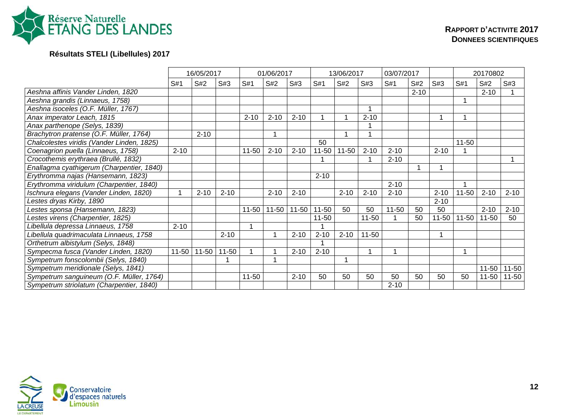

# **Résultats STELI (Libellules) 2017**

|                                            |           | 16/05/2017 |           |           | 01/06/2017 |           |           | 13/06/2017 |           | 03/07/2017 |          |           |           | 20170802  |           |
|--------------------------------------------|-----------|------------|-----------|-----------|------------|-----------|-----------|------------|-----------|------------|----------|-----------|-----------|-----------|-----------|
|                                            | S#1       | S#2        | S#3       | S#1       | S#2        | S#3       | S#1       | S#2        | S#3       | S#1        | S#2      | S#3       | S#1       | S#2       | S#3       |
| Aeshna affinis Vander Linden, 1820         |           |            |           |           |            |           |           |            |           |            | $2 - 10$ |           |           | $2 - 10$  |           |
| Aeshna grandis (Linnaeus, 1758)            |           |            |           |           |            |           |           |            |           |            |          |           |           |           |           |
| Aeshna isoceles (O.F. Müller, 1767)        |           |            |           |           |            |           |           |            |           |            |          |           |           |           |           |
| Anax imperator Leach, 1815                 |           |            |           | $2 - 10$  | $2 - 10$   | $2 - 10$  |           |            | $2 - 10$  |            |          |           |           |           |           |
| Anax parthenope (Selys, 1839)              |           |            |           |           |            |           |           |            |           |            |          |           |           |           |           |
| Brachytron pratense (O.F. Müller, 1764)    |           | $2 - 10$   |           |           |            |           |           | 1          |           |            |          |           |           |           |           |
| Chalcolestes viridis (Vander Linden, 1825) |           |            |           |           |            |           | 50        |            |           |            |          |           | $11 - 50$ |           |           |
| Coenagrion puella (Linnaeus, 1758)         | $2 - 10$  |            |           | $11 - 50$ | $2 - 10$   | $2 - 10$  | $11 - 50$ | $11 - 50$  | $2 - 10$  | $2 - 10$   |          | $2 - 10$  |           |           |           |
| Crocothemis erythraea (Brullé, 1832)       |           |            |           |           |            |           |           |            |           | $2 - 10$   |          |           |           |           |           |
| Enallagma cyathigerum (Charpentier, 1840)  |           |            |           |           |            |           |           |            |           |            |          |           |           |           |           |
| Erythromma najas (Hansemann, 1823)         |           |            |           |           |            |           | $2 - 10$  |            |           |            |          |           |           |           |           |
| Erythromma viridulum (Charpentier, 1840)   |           |            |           |           |            |           |           |            |           | $2 - 10$   |          |           |           |           |           |
| Ischnura elegans (Vander Linden, 1820)     |           | $2 - 10$   | $2 - 10$  |           | $2 - 10$   | $2 - 10$  |           | $2 - 10$   | $2 - 10$  | $2 - 10$   |          | $2 - 10$  | $11 - 50$ | $2 - 10$  | $2 - 10$  |
| estes dryas Kirby, 1890                    |           |            |           |           |            |           |           |            |           |            |          | $2 - 10$  |           |           |           |
| estes sponsa (Hansemann, 1823)             |           |            |           | $11 - 50$ | $11 - 50$  | $11 - 50$ | $11 - 50$ | 50         | 50        | $11 - 50$  | 50       | 50        |           | $2 - 10$  | $2 - 10$  |
| Lestes virens (Charpentier, 1825)          |           |            |           |           |            |           | 11-50     |            | $11 - 50$ |            | 50       | $11 - 50$ | $11 - 50$ | $11 - 50$ | 50        |
| Libellula depressa Linnaeus, 1758          | $2 - 10$  |            |           |           |            |           |           |            |           |            |          |           |           |           |           |
| Libellula quadrimaculata Linnaeus, 1758    |           |            | $2 - 10$  |           |            | $2 - 10$  | $2 - 10$  | $2 - 10$   | $11 - 50$ |            |          | 1         |           |           |           |
| Orthetrum albistylum (Selys, 1848)         |           |            |           |           |            |           |           |            |           |            |          |           |           |           |           |
| Sympecma fusca (Vander Linden, 1820)       | $11 - 50$ | $11 - 50$  | $11 - 50$ |           |            | $2 - 10$  | $2 - 10$  |            |           |            |          |           |           |           |           |
| Sympetrum fonscolombii (Selys, 1840)       |           |            |           |           |            |           |           | 1          |           |            |          |           |           |           |           |
| Sympetrum meridionale (Selys, 1841)        |           |            |           |           |            |           |           |            |           |            |          |           |           | $11 - 50$ | $11 - 50$ |
| Sympetrum sanguineum (O.F. Müller, 1764)   |           |            |           | $11 - 50$ |            | $2 - 10$  | 50        | 50         | 50        | 50         | 50       | 50        | 50        | $11 - 50$ | 11-50     |
| Sympetrum striolatum (Charpentier, 1840)   |           |            |           |           |            |           |           |            |           | $2 - 10$   |          |           |           |           |           |

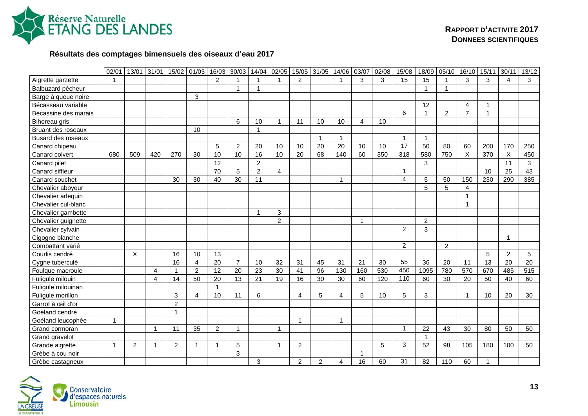

### **Résultats des comptages bimensuels des oiseaux d'eau 2017**

|                      | 02/01                   | 13/01          | 31/01 | 15/02          | 01/03          | 16/03           | 30/03           | 14/04           | 02/05                   | 15/05          | 31/05          | 14/06                   | 03/07          | 02/08 | 15/08          | 18/09          | 05/10          | 16/10          | 15/11        | 30/11          | 13/12 |
|----------------------|-------------------------|----------------|-------|----------------|----------------|-----------------|-----------------|-----------------|-------------------------|----------------|----------------|-------------------------|----------------|-------|----------------|----------------|----------------|----------------|--------------|----------------|-------|
| Aigrette garzette    | $\overline{1}$          |                |       |                |                | $\overline{2}$  |                 |                 | -1                      | $\overline{2}$ |                | -1                      | 3              | 3     | 15             | 15             |                | $\mathbf{3}$   | 3            | $\overline{4}$ | 3     |
| Balbuzard pêcheur    |                         |                |       |                |                |                 | -1              |                 |                         |                |                |                         |                |       |                | $\mathbf{1}$   |                |                |              |                |       |
| Barge à queue noire  |                         |                |       |                | $\mathbf{3}$   |                 |                 |                 |                         |                |                |                         |                |       |                |                |                |                |              |                |       |
| Bécasseau variable   |                         |                |       |                |                |                 |                 |                 |                         |                |                |                         |                |       |                | 12             |                | $\overline{4}$ | $\mathbf 1$  |                |       |
| Bécassine des marais |                         |                |       |                |                |                 |                 |                 |                         |                |                |                         |                |       | 6              | $\mathbf{1}$   | $\overline{c}$ | $\overline{7}$ | $\mathbf{1}$ |                |       |
| Bihoreau gris        |                         |                |       |                |                |                 | 6               | 10              | $\overline{1}$          | 11             | 10             | 10                      | 4              | 10    |                |                |                |                |              |                |       |
| Bruant des roseaux   |                         |                |       |                | 10             |                 |                 | $\overline{1}$  |                         |                |                |                         |                |       |                |                |                |                |              |                |       |
| Busard des roseaux   |                         |                |       |                |                |                 |                 |                 |                         |                |                | $\overline{\mathbf{1}}$ |                |       | $\overline{1}$ | $\mathbf{1}$   |                |                |              |                |       |
| Canard chipeau       |                         |                |       |                |                | 5               | $\overline{2}$  | 20              | 10                      | 10             | 20             | 20                      | 10             | 10    | 17             | 50             | 80             | 60             | 200          | 170            | 250   |
| Canard colvert       | 680                     | 509            | 420   | 270            | 30             | 10              | 10              | 16              | 10                      | 20             | 68             | 140                     | 60             | 350   | 318            | 580            | 750            | $\sf X$        | 370          | $\sf X$        | 450   |
| Canard pilet         |                         |                |       |                |                | 12              |                 | $\overline{2}$  |                         |                |                |                         |                |       |                | 3              |                |                |              | 11             | 3     |
| Canard siffleur      |                         |                |       |                |                | 70              | 5               | $\overline{2}$  | $\overline{4}$          |                |                |                         |                |       | 1              |                |                |                | 10           | 25             | 43    |
| Canard souchet       |                         |                |       | 30             | 30             | 40              | 30              | 11              |                         |                |                | -1                      |                |       | $\overline{4}$ | 5              | 50             | 150            | 230          | 290            | 385   |
| Chevalier aboyeur    |                         |                |       |                |                |                 |                 |                 |                         |                |                |                         |                |       |                | 5              | 5              | $\overline{4}$ |              |                |       |
| Chevalier arlequin   |                         |                |       |                |                |                 |                 |                 |                         |                |                |                         |                |       |                |                |                | $\mathbf{1}$   |              |                |       |
| Chevalier cul-blanc  |                         |                |       |                |                |                 |                 |                 |                         |                |                |                         |                |       |                |                |                | $\mathbf{1}$   |              |                |       |
| Chevalier gambette   |                         |                |       |                |                |                 |                 | -1              | 3                       |                |                |                         |                |       |                |                |                |                |              |                |       |
| Chevalier guignette  |                         |                |       |                |                |                 |                 |                 | $\overline{2}$          |                |                |                         | $\overline{1}$ |       |                | $\overline{2}$ |                |                |              |                |       |
| Chevalier sylvain    |                         |                |       |                |                |                 |                 |                 |                         |                |                |                         |                |       | $\overline{2}$ | 3              |                |                |              |                |       |
| Cigogne blanche      |                         |                |       |                |                |                 |                 |                 |                         |                |                |                         |                |       |                |                |                |                |              | $\overline{1}$ |       |
| Combattant varié     |                         |                |       |                |                |                 |                 |                 |                         |                |                |                         |                |       | $\overline{2}$ |                | $\overline{2}$ |                |              |                |       |
| Courlis cendré       |                         | $\times$       |       | 16             | 10             | 13              |                 |                 |                         |                |                |                         |                |       |                |                |                |                | 5            | $\overline{2}$ | 5     |
| Cygne tuberculé      |                         |                |       | 16             | 4              | 20              | $\overline{7}$  | 10              | 32                      | 31             | 45             | 31                      | 21             | 30    | 55             | 36             | 20             | 11             | 13           | 20             | 20    |
| Foulque macroule     |                         |                | 4     | 1              | $\overline{2}$ | $\overline{12}$ | $\overline{20}$ | $\overline{23}$ | 30                      | 41             | 96             | 130                     | 160            | 530   | 450            | 1095           | 780            | 570            | 670          | 485            | 515   |
| Fuligule milouin     |                         |                | 4     | 14             | 50             | 20              | 13              | 21              | 19                      | 16             | 30             | 30                      | 60             | 120   | 110            | 60             | 30             | 20             | 50           | 40             | 60    |
| Fuligule milouinan   |                         |                |       |                |                | $\overline{1}$  |                 |                 |                         |                |                |                         |                |       |                |                |                |                |              |                |       |
| Fuligule morillon    |                         |                |       | 3              | 4              | 10              | 11              | 6               |                         | $\overline{4}$ | $\overline{5}$ | 4                       | 5              | 10    | 5              | 3              |                | $\mathbf{1}$   | 10           | 20             | 30    |
| Garrot à œil d'or    |                         |                |       | $\overline{c}$ |                |                 |                 |                 |                         |                |                |                         |                |       |                |                |                |                |              |                |       |
| Goéland cendré       |                         |                |       | 1              |                |                 |                 |                 |                         |                |                |                         |                |       |                |                |                |                |              |                |       |
| Goéland leucophée    | $\overline{1}$          |                |       |                |                |                 |                 |                 |                         | $\overline{1}$ |                | $\mathbf{1}$            |                |       |                |                |                |                |              |                |       |
| Grand cormoran       |                         |                | 1     | 11             | 35             | $\overline{2}$  | 1               |                 | $\mathbf 1$             |                |                |                         |                |       | $\mathbf{1}$   | 22             | 43             | 30             | 80           | 50             | 50    |
| Grand gravelot       |                         |                |       |                |                |                 |                 |                 |                         |                |                |                         |                |       |                | $\mathbf{1}$   |                |                |              |                |       |
| Grande aigrette      | $\overline{\mathbf{1}}$ | $\overline{2}$ | 1     | $\overline{2}$ | $\mathbf{1}$   | 1               | 5               |                 | $\overline{\mathbf{1}}$ | $\overline{2}$ |                |                         |                | 5     | 3              | 52             | 98             | 105            | 180          | 100            | 50    |
| Grèbe à cou noir     |                         |                |       |                |                |                 | 3               |                 |                         |                |                |                         | $\overline{1}$ |       |                |                |                |                |              |                |       |
| Grèbe castagneux     |                         |                |       |                |                |                 |                 | 3               |                         | 2              | 2              | 4                       | 16             | 60    | 31             | 82             | 110            | 60             | 1            |                |       |

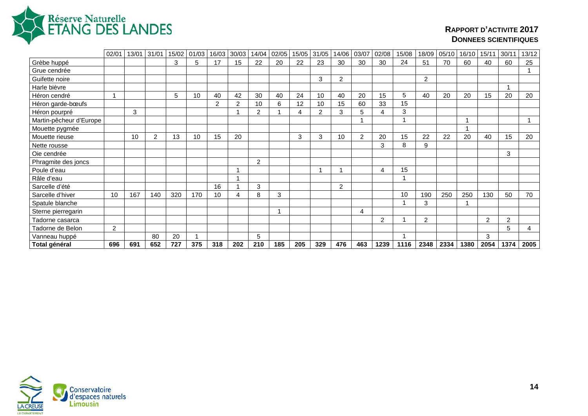

|                         | 02/01 | 13/01 | 31/01          | 15/02 | 01/03 | 16/03 | 30/03 | 14/04          | 02/05 | 15/05 | 31/05          | 14/06          | 03/07 | 02/08 | 15/08 | 18/09          | 05/10 | 16/10 | 15/11 | 30/11          | 13/12 |
|-------------------------|-------|-------|----------------|-------|-------|-------|-------|----------------|-------|-------|----------------|----------------|-------|-------|-------|----------------|-------|-------|-------|----------------|-------|
| Grèbe huppé             |       |       |                | 3     | 5     | 17    | 15    | 22             | 20    | 22    | 23             | 30             | 30    | 30    | 24    | 51             | 70    | 60    | 40    | 60             | 25    |
| Grue cendrée            |       |       |                |       |       |       |       |                |       |       |                |                |       |       |       |                |       |       |       |                |       |
| Guifette noire          |       |       |                |       |       |       |       |                |       |       | 3              | $\overline{2}$ |       |       |       | $\overline{2}$ |       |       |       |                |       |
| Harle bièvre            |       |       |                |       |       |       |       |                |       |       |                |                |       |       |       |                |       |       |       |                |       |
| Héron cendré            |       |       |                | 5     | 10    | 40    | 42    | 30             | 40    | 24    | 10             | 40             | 20    | 15    | 5     | 40             | 20    | 20    | 15    | 20             | 20    |
| Héron garde-bœufs       |       |       |                |       |       | 2     | 2     | 10             | 6     | 12    | 10             | 15             | 60    | 33    | 15    |                |       |       |       |                |       |
| Héron pourpré           |       | 3     |                |       |       |       |       | $\overline{2}$ |       | 4     | $\overline{2}$ | 3              | 5     | 4     | 3     |                |       |       |       |                |       |
| Martin-pêcheur d'Europe |       |       |                |       |       |       |       |                |       |       |                |                |       |       |       |                |       |       |       |                |       |
| Mouette pygmée          |       |       |                |       |       |       |       |                |       |       |                |                |       |       |       |                |       |       |       |                |       |
| Mouette rieuse          |       | 10    | $\overline{2}$ | 13    | 10    | 15    | 20    |                |       | 3     | 3              | 10             | 2     | 20    | 15    | 22             | 22    | 20    | 40    | 15             | 20    |
| Nette rousse            |       |       |                |       |       |       |       |                |       |       |                |                |       | 3     | 8     | 9              |       |       |       |                |       |
| Oie cendrée             |       |       |                |       |       |       |       |                |       |       |                |                |       |       |       |                |       |       |       | 3              |       |
| Phragmite des joncs     |       |       |                |       |       |       |       | 2              |       |       |                |                |       |       |       |                |       |       |       |                |       |
| Poule d'eau             |       |       |                |       |       |       | -1    |                |       |       |                |                |       | Δ     | 15    |                |       |       |       |                |       |
| Râle d'eau              |       |       |                |       |       |       |       |                |       |       |                |                |       |       |       |                |       |       |       |                |       |
| Sarcelle d'été          |       |       |                |       |       | 16    |       | 3              |       |       |                | $\overline{2}$ |       |       |       |                |       |       |       |                |       |
| Sarcelle d'hiver        | 10    | 167   | 140            | 320   | 170   | 10    | 4     | 8              | 3     |       |                |                |       |       | 10    | 190            | 250   | 250   | 130   | 50             | 70    |
| Spatule blanche         |       |       |                |       |       |       |       |                |       |       |                |                |       |       |       | 3              |       |       |       |                |       |
| Sterne pierregarin      |       |       |                |       |       |       |       |                |       |       |                |                | 4     |       |       |                |       |       |       |                |       |
| Tadorne casarca         |       |       |                |       |       |       |       |                |       |       |                |                |       | 2     |       | 2              |       |       | 2     | $\overline{2}$ |       |
| Tadorne de Belon        | 2     |       |                |       |       |       |       |                |       |       |                |                |       |       |       |                |       |       |       | 5              | 4     |
| Vanneau huppé           |       |       | 80             | 20    |       |       |       | 5              |       |       |                |                |       |       |       |                |       |       | 3     |                |       |
| Total général           | 696   | 691   | 652            | 727   | 375   | 318   | 202   | 210            | 185   | 205   | 329            | 476            | 463   | 1239  | 1116  | 2348           | 2334  | 1380  | 2054  | 1374           | 2005  |

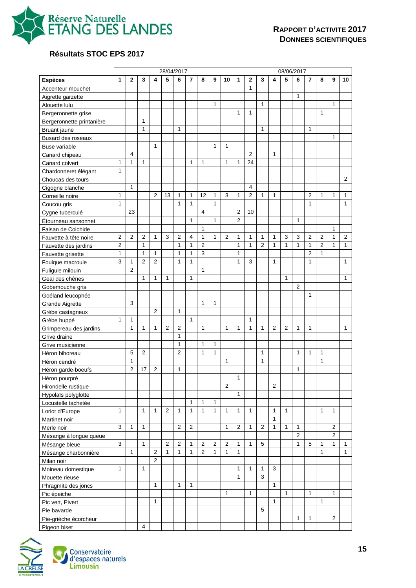

# **Résultats STOC EPS 2017**

|                           |              |                |                |                | 28/04/2017     |                |              |                |              |                |                |                         |   |                | 08/06/2017   |                |                |                |                |                |
|---------------------------|--------------|----------------|----------------|----------------|----------------|----------------|--------------|----------------|--------------|----------------|----------------|-------------------------|---|----------------|--------------|----------------|----------------|----------------|----------------|----------------|
| <b>Espèces</b>            | 1            | $\mathbf{2}$   | 3              | 4              | 5              | 6              | 7            | 8              | 9            | 10             | 1              | $\overline{\mathbf{2}}$ | 3 | 4              | 5            | 6              | 7              | 8              | 9              | 10             |
| Accenteur mouchet         |              |                |                |                |                |                |              |                |              |                |                | 1                       |   |                |              |                |                |                |                |                |
| Aigrette garzette         |              |                |                |                |                |                |              |                |              |                |                |                         |   |                |              | 1              |                |                |                |                |
| Alouette lulu             |              |                |                |                |                |                |              |                | $\mathbf{1}$ |                |                |                         | 1 |                |              |                |                |                | 1              |                |
| Bergeronnette grise       |              |                |                |                |                |                |              |                |              |                | 1              | $\mathbf{1}$            |   |                |              |                |                | $\mathbf{1}$   |                |                |
| Bergeronnette printanière |              |                | $\mathbf{1}$   |                |                |                |              |                |              |                |                |                         |   |                |              |                |                |                |                |                |
| Bruant jaune              |              |                | $\mathbf{1}$   |                |                | $\mathbf{1}$   |              |                |              |                |                |                         | 1 |                |              |                | 1              |                |                |                |
| Busard des roseaux        |              |                |                |                |                |                |              |                |              |                |                |                         |   |                |              |                |                |                | 1              |                |
| <b>Buse variable</b>      |              |                |                | 1              |                |                |              |                | $\mathbf{1}$ | 1              |                |                         |   |                |              |                |                |                |                |                |
| Canard chipeau            |              | $\overline{4}$ |                |                |                |                |              |                |              |                |                | 2                       |   | $\mathbf{1}$   |              |                |                |                |                |                |
| Canard colvert            | $\mathbf{1}$ | $\mathbf{1}$   | $\mathbf{1}$   |                |                |                | $\mathbf{1}$ | $\mathbf{1}$   |              | 1              | 1              | 24                      |   |                |              |                |                |                |                |                |
| Chardonneret élégant      | 1            |                |                |                |                |                |              |                |              |                |                |                         |   |                |              |                |                |                |                |                |
| Choucas des tours         |              |                |                |                |                |                |              |                |              |                |                |                         |   |                |              |                |                |                |                | 2              |
| Cigogne blanche           |              | 1              |                |                |                |                |              |                |              |                |                | 4                       |   |                |              |                |                |                |                |                |
| Corneille noire           | 1            |                |                | $\overline{2}$ | 13             | 1              | 1            | 12             | 1            | 3              | 1              | $\overline{2}$          | 1 | 1              |              |                | $\overline{2}$ | 1              | 1              | 1              |
| Coucou gris               | $\mathbf{1}$ |                |                |                |                | $\mathbf{1}$   | $\mathbf{1}$ |                | $\mathbf{1}$ |                |                |                         |   |                |              |                | 1              |                |                | $\mathbf{1}$   |
| Cygne tuberculé           |              | 23             |                |                |                |                |              | 4              |              |                | 2              | 10                      |   |                |              |                |                |                |                |                |
| Etourneau sansonnet       |              |                |                |                |                |                | 1            |                | 1            |                | $\overline{2}$ |                         |   |                |              | 1              |                |                |                |                |
| Faisan de Colchide        |              |                |                |                |                |                |              | 1              |              |                |                |                         |   |                |              |                |                |                | 1              |                |
| Fauvette à tête noire     | 2            | $\overline{2}$ | $\overline{2}$ | 1              | 3              | $\overline{2}$ | 4            | 1              | 1            | 2              | 1              | 1                       | 1 | 1              | 3            | 3              | $\overline{2}$ | $\overline{2}$ | 1              | $\overline{2}$ |
| Fauvette des jardins      | 2            |                | $\mathbf{1}$   |                |                | 1              | 1            | $\overline{2}$ |              |                | 1              | 1                       | 2 | $\mathbf{1}$   | 1            | 1              | 1              | $\overline{2}$ | 1              | 1              |
| Fauvette grisette         | 1            |                | $\mathbf{1}$   | 1              |                | 1              | 1            | 3              |              |                | 1              |                         |   |                |              |                | $\overline{2}$ | 1              |                |                |
| Foulque macroule          | 3            | 1              | $\overline{2}$ | 2              |                | 1              | 1            |                |              |                | 1              | 3                       |   | 1              |              |                | 1              |                |                | 1              |
| Fuligule milouin          |              | $\overline{2}$ |                |                |                |                |              | 1              |              |                |                |                         |   |                |              |                |                |                |                |                |
| Geai des chênes           |              |                | $\mathbf{1}$   | 1              | 1              |                | 1            |                |              |                |                |                         |   |                | $\mathbf{1}$ |                |                |                |                | $\mathbf{1}$   |
| Gobemouche gris           |              |                |                |                |                |                |              |                |              |                |                |                         |   |                |              | 2              |                |                |                |                |
| Goéland leucophée         |              |                |                |                |                |                |              |                |              |                |                |                         |   |                |              |                | 1              |                |                |                |
| <b>Grande Aigrette</b>    |              | 3              |                |                |                |                |              | 1              | 1            |                |                |                         |   |                |              |                |                |                |                |                |
| Grèbe castagneux          |              |                |                | $\overline{2}$ |                | $\mathbf{1}$   |              |                |              |                |                |                         |   |                |              |                |                |                |                |                |
| Grèbe huppé               | 1            | 1              |                |                |                |                | 1            |                |              |                |                | $\mathbf{1}$            |   |                |              |                |                |                |                |                |
| Grimpereau des jardins    |              | $\mathbf{1}$   | $\mathbf{1}$   | 1              | 2              | $\overline{2}$ |              | $\mathbf{1}$   |              | 1              | 1              | 1                       | 1 | $\overline{2}$ | 2            | 1              | 1              |                |                | 1              |
| Grive draine              |              |                |                |                |                | 1              |              |                |              |                |                |                         |   |                |              |                |                |                |                |                |
| Grive musicienne          |              |                |                |                |                | $\mathbf{1}$   |              | $\mathbf{1}$   | 1            |                |                |                         |   |                |              |                |                |                |                |                |
| Héron bihoreau            |              | 5              | 2              |                |                | $\overline{2}$ |              | 1              | $\mathbf{1}$ |                |                |                         | 1 |                |              | 1              | 1              | 1              |                |                |
| Héron cendré              |              | $\mathbf{1}$   |                |                |                |                |              |                |              | 1              |                |                         | 1 |                |              |                |                | 1              |                |                |
| Héron garde-boeufs        |              | $\overline{2}$ | 17             | 2              |                | 1              |              |                |              |                |                |                         |   |                |              | 1              |                |                |                |                |
| Héron pourpré             |              |                |                |                |                |                |              |                |              |                | 1              |                         |   |                |              |                |                |                |                |                |
| Hirondelle rustique       |              |                |                |                |                |                |              |                |              | $\overline{2}$ |                |                         |   | $\overline{2}$ |              |                |                |                |                |                |
| Hypolaïs polyglotte       |              |                |                |                |                |                |              |                |              |                | 1              |                         |   |                |              |                |                |                |                |                |
| Locustelle tachetée       |              |                |                |                |                |                | $\mathbf{1}$ | $\mathbf{1}$   | $\mathbf{1}$ |                |                |                         |   |                |              |                |                |                |                |                |
| Loriot d'Europe           | 1            |                | $\mathbf{1}$   | $\mathbf{1}$   | 2              | $\mathbf{1}$   | $\mathbf{1}$ | $\mathbf{1}$   | $\mathbf{1}$ | $\mathbf{1}$   | $\mathbf{1}$   | $\mathbf{1}$            |   | $\mathbf{1}$   | $\mathbf{1}$ |                |                | $\mathbf{1}$   | $\mathbf{1}$   |                |
| Martinet noir             |              |                |                |                |                |                |              |                |              |                |                |                         |   | $\mathbf{1}$   |              |                |                |                |                |                |
| Merle noir                | 3            | $\mathbf{1}$   | $\mathbf{1}$   |                |                | 2              | $\mathbf{2}$ |                |              | 1              | 2              | 1                       | 2 | $\mathbf{1}$   | $\mathbf{1}$ | 1              |                |                | 2              |                |
| Mésange à longue queue    |              |                |                |                |                |                |              |                |              |                |                |                         |   |                |              | $\overline{2}$ |                |                | $\overline{2}$ |                |
| Mésange bleue             | 3            |                | $\mathbf{1}$   |                | $\overline{2}$ | $\overline{2}$ | 1            | 2              | 2            | $\overline{2}$ | 1              | $\mathbf{1}$            | 5 |                |              | $\mathbf{1}$   | 5              | 1              | 1              | 1              |
| Mésange charbonnière      |              | $\mathbf{1}$   |                | $\overline{2}$ | $\mathbf{1}$   | $\mathbf{1}$   | $\mathbf{1}$ | $\overline{2}$ | $\mathbf{1}$ | $\mathbf{1}$   | $\mathbf{1}$   |                         |   |                |              |                |                | $\mathbf{1}$   |                | $\mathbf{1}$   |
| Milan noir                |              |                |                | $\overline{2}$ |                |                |              |                |              |                |                |                         |   |                |              |                |                |                |                |                |
| Moineau domestique        | 1            |                | $\mathbf{1}$   |                |                |                |              |                |              |                | 1              | $\mathbf{1}$            | 1 | 3              |              |                |                |                |                |                |
| Mouette rieuse            |              |                |                |                |                |                |              |                |              |                | $\mathbf{1}$   |                         | 3 |                |              |                |                |                |                |                |
| Phragmite des joncs       |              |                |                | $\mathbf{1}$   |                | $\mathbf{1}$   | 1            |                |              |                |                |                         |   | $\mathbf{1}$   |              |                |                |                |                |                |
| Pic épeiche               |              |                |                |                |                |                |              |                |              | $\mathbf{1}$   |                | $\mathbf{1}$            |   |                | $\mathbf{1}$ |                | $\mathbf{1}$   |                | $\mathbf{1}$   |                |
| Pic vert, Pivert          |              |                |                | $\mathbf{1}$   |                |                |              |                |              |                |                |                         |   | $\mathbf{1}$   |              |                |                | $\mathbf{1}$   |                |                |
| Pie bavarde               |              |                |                |                |                |                |              |                |              |                |                |                         | 5 |                |              |                |                |                |                |                |
| Pie-grièche écorcheur     |              |                |                |                |                |                |              |                |              |                |                |                         |   |                |              | $\mathbf{1}$   | 1              |                | 2              |                |
| Pigeon biset              |              |                | $\overline{4}$ |                |                |                |              |                |              |                |                |                         |   |                |              |                |                |                |                |                |

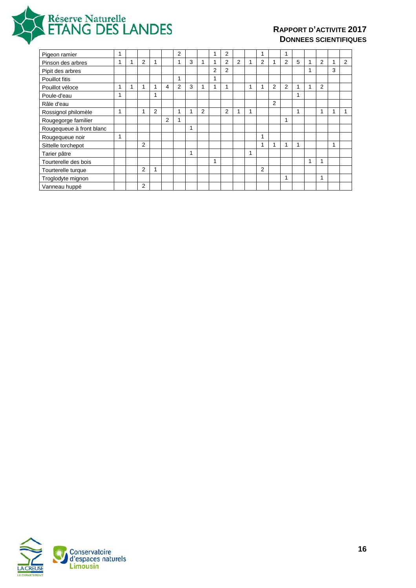

| Pigeon ramier            | и |   |   |                | 2              |   |   |                | 2              |                |   |                |                | 1 |   |                |   |   |
|--------------------------|---|---|---|----------------|----------------|---|---|----------------|----------------|----------------|---|----------------|----------------|---|---|----------------|---|---|
| Pinson des arbres        | 1 | 2 | 1 |                | 1              | 3 | 1 | 1              | $\overline{2}$ | $\overline{2}$ |   | $\overline{2}$ |                | 2 | 5 | $\overline{2}$ |   | 2 |
| Pipit des arbres         |   |   |   |                |                |   |   | $\overline{2}$ | 2              |                |   |                |                |   |   |                | 3 |   |
| Pouillot fitis           |   |   |   |                | 1              |   |   |                |                |                |   |                |                |   |   |                |   |   |
| Pouillot véloce          | 1 | 1 | ٠ | 4              | $\overline{2}$ | 3 | 1 |                | 1              |                | 1 | ۸              | $\overline{2}$ | 2 |   | 2              |   |   |
| Poule-d'eau              | 1 |   | 1 |                |                |   |   |                |                |                |   |                |                |   | 1 |                |   |   |
| Râle d'eau               |   |   |   |                |                |   |   |                |                |                |   |                | $\overline{2}$ |   |   |                |   |   |
| Rossignol philomèle      | 1 | 1 | 2 |                | 1              | 1 | 2 |                | 2              | 4              |   |                |                |   | 1 | 4              |   |   |
| Rougegorge familier      |   |   |   | $\overline{2}$ | ٠              |   |   |                |                |                |   |                |                | 1 |   |                |   |   |
| Rougequeue à front blanc |   |   |   |                |                | 1 |   |                |                |                |   |                |                |   |   |                |   |   |
| Rougequeue noir          | 1 |   |   |                |                |   |   |                |                |                |   | 1              |                |   |   |                |   |   |
| Sittelle torchepot       |   | 2 |   |                |                |   |   |                |                |                |   | 1              |                | 1 | 1 |                |   |   |
| Tarier pâtre             |   |   |   |                |                | 1 |   |                |                |                |   |                |                |   |   |                |   |   |
| Tourterelle des bois     |   |   |   |                |                |   |   | 1              |                |                |   |                |                |   |   | и              |   |   |
| Tourterelle turque       |   | 2 | 1 |                |                |   |   |                |                |                |   | $\overline{2}$ |                |   |   |                |   |   |
| Troglodyte mignon        |   |   |   |                |                |   |   |                |                |                |   |                |                | 1 |   | 1              |   |   |
| Vanneau huppé            |   | 2 |   |                |                |   |   |                |                |                |   |                |                |   |   |                |   |   |

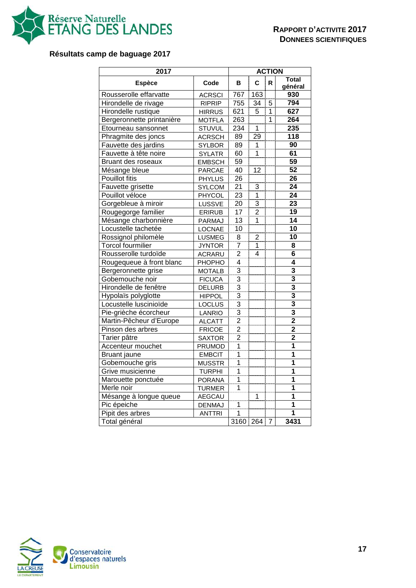

# **Résultats camp de baguage 2017**

| 2017                      |               |                 |                 | <b>ACTION</b>  |                         |
|---------------------------|---------------|-----------------|-----------------|----------------|-------------------------|
| <b>Espèce</b>             | Code          | в               | C               | R              | <b>Total</b><br>général |
| Rousserolle effarvatte    | <b>ACRSCI</b> | 767             | 163             |                | 930                     |
| Hirondelle de rivage      | <b>RIPRIP</b> | 755             | 34              | 5              | 794                     |
| Hirondelle rustique       | <b>HIRRUS</b> | 621             | 5               | 1              | 627                     |
| Bergeronnette printanière | <b>MOTFLA</b> | 263             |                 | 1              | 264                     |
| Etourneau sansonnet       | <b>STUVUL</b> | 234             | $\overline{1}$  |                | 235                     |
| Phragmite des joncs       | <b>ACRSCH</b> | 89              | 29              |                | 118                     |
| Fauvette des jardins      | <b>SYLBOR</b> | 89              | 1               |                | $\overline{90}$         |
| Fauvette à tête noire     | <b>SYLATR</b> | 60              | 1               |                | 61                      |
| Bruant des roseaux        | <b>EMBSCH</b> | 59              |                 |                | 59                      |
| Mésange bleue             | <b>PARCAE</b> | 40              | $\overline{12}$ |                | 52                      |
| <b>Pouillot fitis</b>     | <b>PHYLUS</b> | 26              |                 |                | 26                      |
| Fauvette grisette         | <b>SYLCOM</b> | 21              | 3               |                | $\overline{24}$         |
| Pouillot véloce           | PHYCOL        | 23              | $\overline{1}$  |                | $\overline{24}$         |
| Gorgebleue à miroir       | LUSSVE        | $\overline{20}$ | $\overline{3}$  |                | $\overline{23}$         |
| Rougegorge familier       | <b>ERIRUB</b> | $\overline{17}$ | 2               |                | 19                      |
| Mésange charbonnière      | PARMAJ        | $\overline{13}$ | 1               |                | $\overline{14}$         |
| Locustelle tachetée       | <b>LOCNAE</b> | 10              |                 |                | 10                      |
| Rossignol philomèle       | <b>LUSMEG</b> | 8               | $\overline{2}$  |                | $\overline{10}$         |
| <b>Torcol fourmilier</b>  | <b>JYNTOR</b> | $\overline{7}$  | 1               |                | 8                       |
| Rousserolle turdoïde      | <b>ACRARU</b> | $\overline{c}$  | 4               |                | $\overline{\bf{6}}$     |
| Rougequeue à front blanc  | PHOPHO        | $\overline{4}$  |                 |                | $\overline{4}$          |
| Bergeronnette grise       | <b>MOTALB</b> | $\overline{3}$  |                 |                | $\overline{\mathbf{3}}$ |
| Gobemouche noir           | <b>FICUCA</b> | $\overline{3}$  |                 |                | $\overline{\mathbf{3}}$ |
| Hirondelle de fenêtre     | DELURB        | $\overline{3}$  |                 |                | $\overline{\mathbf{3}}$ |
| Hypolaïs polyglotte       | <b>HIPPOL</b> | $\overline{3}$  |                 |                | $\overline{\mathbf{3}}$ |
| Locustelle luscinioïde    | LOCLUS        | $\overline{3}$  |                 |                | 3                       |
| Pie-grièche écorcheur     | LANRIO        | 3               |                 |                | 3                       |
| Martin-Pêcheur d'Europe   | <b>ALCATT</b> | $\overline{2}$  |                 |                | $\overline{2}$          |
| Pinson des arbres         | <b>FRICOE</b> | $\overline{2}$  |                 |                | $\overline{2}$          |
| Tarier pâtre              | <b>SAXTOR</b> | $\overline{2}$  |                 |                | $\overline{2}$          |
| Accenteur mouchet         | PRUMOD        | 1               |                 |                | 1                       |
| <b>Bruant</b> jaune       | <b>EMBCIT</b> | $\overline{1}$  |                 |                | $\overline{\mathbf{1}}$ |
| Gobemouche gris           | <b>MUSSTR</b> | $\overline{1}$  |                 |                | $\overline{\mathbf{1}}$ |
| Grive musicienne          | <b>TURPHI</b> | $\overline{1}$  |                 |                | $\overline{1}$          |
| Marouette ponctuée        | <b>PORANA</b> | 1               |                 |                | $\overline{\mathbf{1}}$ |
| Merle noir                | <b>TURMER</b> | $\overline{1}$  |                 |                | $\overline{\mathbf{1}}$ |
| Mésange à longue queue    | <b>AEGCAU</b> |                 | <br>1           |                | $\overline{\mathbf{1}}$ |
| Pic épeiche               | <b>DENMAJ</b> | $\overline{1}$  |                 |                | $\overline{\mathbf{1}}$ |
| Pipit des arbres          | <b>ANTTRI</b> | 1               |                 |                | 1                       |
| Total général             |               | 3160 264        |                 | $\overline{7}$ | 3431                    |

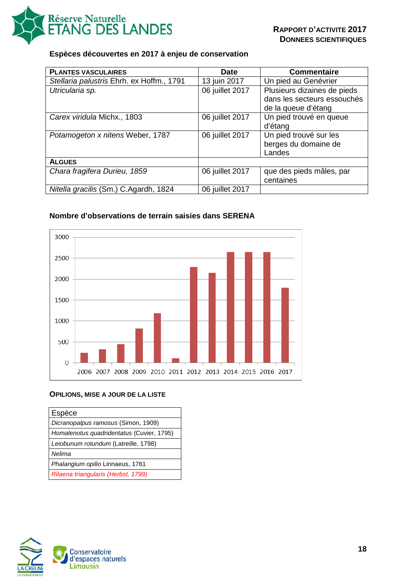

#### **Espèces découvertes en 2017 à enjeu de conservation**

| <b>PLANTES VASCULAIRES</b>                | <b>Date</b>     | <b>Commentaire</b>          |
|-------------------------------------------|-----------------|-----------------------------|
| Stellaria palustris Ehrh. ex Hoffm., 1791 | 13 juin 2017    | Un pied au Genévrier        |
| Utricularia sp.                           | 06 juillet 2017 | Plusieurs dizaines de pieds |
|                                           |                 | dans les secteurs essouchés |
|                                           |                 | de la queue d'étang         |
| Carex viridula Michx., 1803               | 06 juillet 2017 | Un pied trouvé en queue     |
|                                           |                 | d'étang                     |
| Potamogeton x nitens Weber, 1787          | 06 juillet 2017 | Un pied trouvé sur les      |
|                                           |                 | berges du domaine de        |
|                                           |                 | Landes                      |
| <b>ALGUES</b>                             |                 |                             |
| Chara fragifera Durieu, 1859              | 06 juillet 2017 | que des pieds mâles, par    |
|                                           |                 | centaines                   |
| Nitella gracilis (Sm.) C.Agardh, 1824     | 06 juillet 2017 |                             |

### **Nombre d'observations de terrain saisies dans SERENA**



#### **OPILIONS, MISE A JOUR DE LA LISTE**

| Espèce                                    |
|-------------------------------------------|
| Dicranopalpus ramosus (Simon, 1909)       |
| Homalenotus quadridentatus (Cuvier, 1795) |
| Leiobunum rotundum (Latreille, 1798)      |
| Nelima                                    |
| Phalangium opilio Linnaeus, 1761          |
| Rilaena triangularis (Herbst, 1799)       |

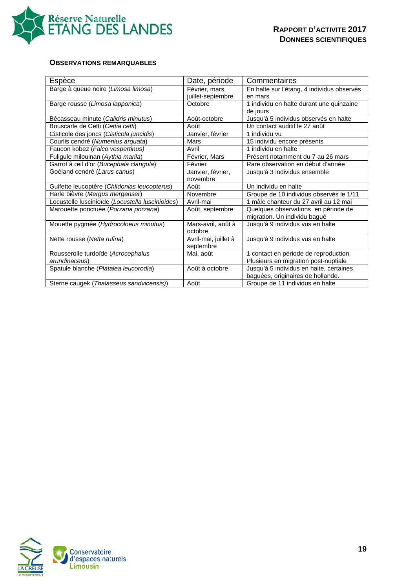

#### **OBSERVATIONS REMARQUABLES**

| Espèce                                           | Date, période        | Commentaires                               |
|--------------------------------------------------|----------------------|--------------------------------------------|
| Barge à queue noire (Limosa limosa)              | Février, mars,       | En halte sur l'étang, 4 individus observés |
|                                                  | juillet-septembre    | en mars                                    |
| Barge rousse (Limosa lapponica)                  | Octobre              | 1 individu en halte durant une quinzaine   |
|                                                  |                      | de jours                                   |
| Bécasseau minute (Calidris minutus)              | Août-octobre         | Jusqu'à 5 individus observés en halte      |
| Bouscarle de Cetti (Cettia cetti)                | Août                 | Un contact auditif le 27 août              |
| Cisticole des joncs (Cisticola juncidis)         | Janvier, février     | 1 individu vu                              |
| Courlis cendré (Numenius arquata)                | Mars                 | 15 individu encore présents                |
| Faucon kobez (Falco vespertinus)                 | Avril                | 1 individu en halte                        |
| Fuligule milouinan (Aythia marila)               | Février, Mars        | Présent notamment du 7 au 26 mars          |
| Garrot à œil d'or (Bucephala clangula)           | Février              | Rare observation en début d'année          |
| Goéland cendré (Larus canus)                     | Janvier, février,    | Jusqu'à 3 individus ensemble               |
|                                                  | novembre             |                                            |
| Guifette leucoptère (Chlidonias leucopterus)     | Août                 | Un individu en halte                       |
| Harle bièvre (Mergus merganser)                  | Novembre             | Groupe de 10 individus observés le 1/11    |
| Locustelle luscinioïde (Locustella luscinioides) | Avril-mai            | 1 mâle chanteur du 27 avril au 12 mai      |
| Marouette ponctuée (Porzana porzana)             | Août, septembre      | Quelques observations en période de        |
|                                                  |                      | migration. Un individu bagué               |
| Mouette pygmée (Hydrocoloeus minutus)            | Mars-avril, août à   | Jusqu'à 9 individus vus en halte           |
|                                                  | octobre              |                                            |
| Nette rousse (Netta rufina)                      | Avril-mai, juillet à | Jusqu'à 9 individus vus en halte           |
|                                                  | septembre            |                                            |
| Rousserolle turdoïde (Acrocephalus               | Mai, août            | 1 contact en période de reproduction.      |
| arundinaceus)                                    |                      | Plusieurs en migration post-nuptiale       |
| Spatule blanche (Platalea leucorodia)            | Août à octobre       | Jusqu'à 5 individus en halte, certaines    |
|                                                  |                      | baguées, originaires de hollande.          |
| Sterne caugek (Thalasseus sandvicensis))         | Août                 | Groupe de 11 individus en halte            |